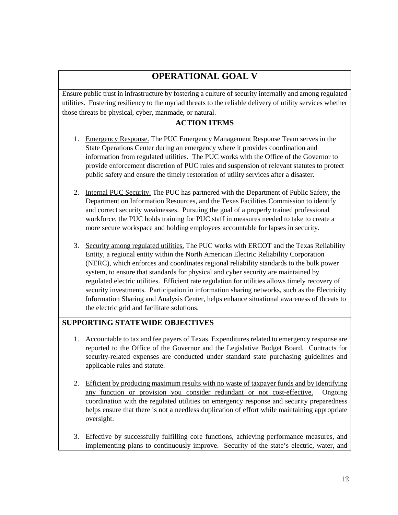# **OPERATIONAL GOAL V**

Ensure public trust in infrastructure by fostering a culture of security internally and among regulated utilities. Fostering resiliency to the myriad threats to the reliable delivery of utility services whether those threats be physical, cyber, manmade, or natural.

#### **ACTION ITEMS**

- 1. Emergency Response. The PUC Emergency Management Response Team serves in the State Operations Center during an emergency where it provides coordination and information from regulated utilities. The PUC works with the Office of the Governor to provide enforcement discretion of PUC rules and suspension of relevant statutes to protect public safety and ensure the timely restoration of utility services after a disaster.
- 2. Internal PUC Security. The PUC has partnered with the Department of Public Safety, the Department on Information Resources, and the Texas Facilities Commission to identify and correct security weaknesses. Pursuing the goal of a properly trained professional workforce, the PUC holds training for PUC staff in measures needed to take to create a more secure workspace and holding employees accountable for lapses in security.
- 3. Security among regulated utilities. The PUC works with ERCOT and the Texas Reliability Entity, a regional entity within the North American Electric Reliability Corporation (NERC), which enforces and coordinates regional reliability standards to the bulk power system, to ensure that standards for physical and cyber security are maintained by regulated electric utilities. Efficient rate regulation for utilities allows timely recovery of security investments. Participation in information sharing networks, such as the Electricity Information Sharing and Analysis Center, helps enhance situational awareness of threats to the electric grid and facilitate solutions.

#### **SUPPORTING STATEWIDE OBJECTIVES**

- 1. Accountable to tax and fee payers of Texas. Expenditures related to emergency response are reported to the Office of the Governor and the Legislative Budget Board. Contracts for security-related expenses are conducted under standard state purchasing guidelines and applicable rules and statute.
- 2. Efficient by producing maximum results with no waste of taxpayer funds and by identifying any function or provision you consider redundant or not cost-effective. Ongoing coordination with the regulated utilities on emergency response and security preparedness helps ensure that there is not a needless duplication of effort while maintaining appropriate oversight.
- 3. Effective by successfully fulfilling core functions, achieving performance measures, and implementing plans to continuously improve. Security of the state's electric, water, and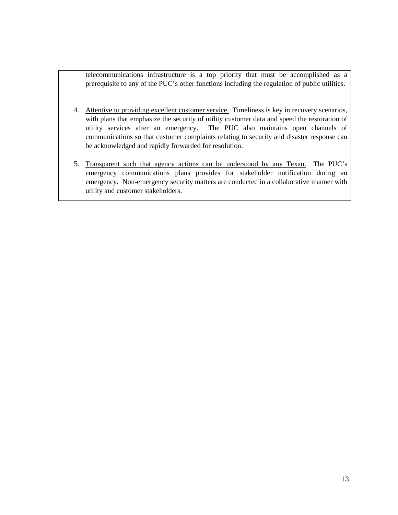telecommunications infrastructure is a top priority that must be accomplished as a prerequisite to any of the PUC's other functions including the regulation of public utilities.

- 4. Attentive to providing excellent customer service. Timeliness is key in recovery scenarios, with plans that emphasize the security of utility customer data and speed the restoration of utility services after an emergency. The PUC also maintains open channels of communications so that customer complaints relating to security and disaster response can be acknowledged and rapidly forwarded for resolution.
- 5. Transparent such that agency actions can be understood by any Texan. The PUC's emergency communications plans provides for stakeholder notification during an emergency. Non-emergency security matters are conducted in a collaborative manner with utility and customer stakeholders.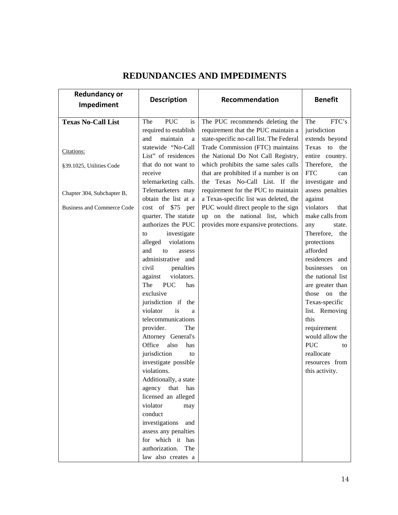| <b>Redundancy or</b>              | <b>Description</b>                   | Recommendation                                                                | <b>Benefit</b>                         |
|-----------------------------------|--------------------------------------|-------------------------------------------------------------------------------|----------------------------------------|
| Impediment                        |                                      |                                                                               |                                        |
| <b>Texas No-Call List</b>         | <b>PUC</b><br>The<br>is              | The PUC recommends deleting the                                               | FTC's<br>The                           |
|                                   | required to establish                | requirement that the PUC maintain a                                           | jurisdiction                           |
|                                   | maintain<br>and<br>a                 | state-specific no-call list. The Federal                                      | extends beyond                         |
| Citations:                        | statewide "No-Call                   | Trade Commission (FTC) maintains                                              | Texas to the                           |
|                                   | List" of residences                  | the National Do Not Call Registry,                                            | entire country.                        |
| §39.1025, Utilities Code          | that do not want to<br>receive       | which prohibits the same sales calls<br>that are prohibited if a number is on | Therefore,<br>the<br><b>FTC</b><br>can |
|                                   | telemarketing calls.                 | the Texas No-Call List. If the                                                | investigate and                        |
|                                   | Telemarketers may                    | requirement for the PUC to maintain                                           | assess penalties                       |
| Chapter 304, Subchapter B,        | obtain the list at a                 | a Texas-specific list was deleted, the                                        | against                                |
| <b>Business and Commerce Code</b> | cost of \$75 per                     | PUC would direct people to the sign                                           | violators<br>that                      |
|                                   | quarter. The statute                 | up on the national list, which                                                | make calls from                        |
|                                   | authorizes the PUC                   | provides more expansive protections.                                          | any<br>state.                          |
|                                   | investigate<br>to                    |                                                                               | Therefore,<br>the                      |
|                                   | alleged<br>violations                |                                                                               | protections                            |
|                                   | and<br>to<br>assess                  |                                                                               | afforded                               |
|                                   | administrative and                   |                                                                               | residences and                         |
|                                   | civil<br>penalties<br>violators.     |                                                                               | businesses<br>on                       |
|                                   | against<br><b>PUC</b><br>The<br>has  |                                                                               | the national list<br>are greater than  |
|                                   | exclusive                            |                                                                               | those on<br>the                        |
|                                   | jurisdiction if the                  |                                                                               | Texas-specific                         |
|                                   | violator<br>is<br>a                  |                                                                               | list. Removing                         |
|                                   | telecommunications                   |                                                                               | this                                   |
|                                   | provider.<br>The                     |                                                                               | requirement                            |
|                                   | Attorney General's                   |                                                                               | would allow the                        |
|                                   | Office<br>also<br>has                |                                                                               | <b>PUC</b><br>to                       |
|                                   | jurisdiction<br>to                   |                                                                               | reallocate                             |
|                                   | investigate possible                 |                                                                               | resources from                         |
|                                   | violations.<br>Additionally, a state |                                                                               | this activity.                         |
|                                   | agency that has                      |                                                                               |                                        |
|                                   | licensed an alleged                  |                                                                               |                                        |
|                                   | violator<br>may                      |                                                                               |                                        |
|                                   | conduct                              |                                                                               |                                        |
|                                   | investigations and                   |                                                                               |                                        |
|                                   | assess any penalties                 |                                                                               |                                        |
|                                   | for which it has                     |                                                                               |                                        |
|                                   | authorization. The                   |                                                                               |                                        |
|                                   | law also creates a                   |                                                                               |                                        |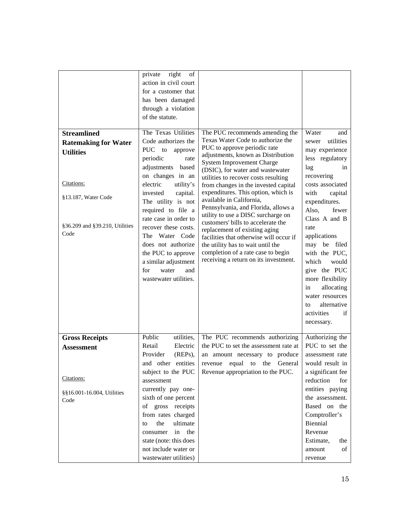|                                | right<br>private<br>of |                                                                              |                    |
|--------------------------------|------------------------|------------------------------------------------------------------------------|--------------------|
|                                | action in civil court  |                                                                              |                    |
|                                | for a customer that    |                                                                              |                    |
|                                | has been damaged       |                                                                              |                    |
|                                | through a violation    |                                                                              |                    |
|                                | of the statute.        |                                                                              |                    |
| <b>Streamlined</b>             | The Texas Utilities    | The PUC recommends amending the                                              | Water<br>and       |
|                                | Code authorizes the    | Texas Water Code to authorize the                                            | utilities<br>sewer |
| <b>Ratemaking for Water</b>    | PUC to<br>approve      | PUC to approve periodic rate                                                 | may experience     |
| <b>Utilities</b>               | periodic<br>rate       | adjustments, known as Distribution                                           | less regulatory    |
|                                | adjustments based      | <b>System Improvement Charge</b>                                             | lag<br>in          |
|                                | on changes in an       | (DSIC), for water and wastewater                                             | recovering         |
| Citations:                     | electric<br>utility's  | utilities to recover costs resulting                                         | costs associated   |
|                                | invested<br>capital.   | from changes in the invested capital<br>expenditures. This option, which is  | with<br>capital    |
| §13.187, Water Code            | The utility is not     | available in California,                                                     | expenditures.      |
|                                | required to file a     | Pennsylvania, and Florida, allows a                                          | Also,<br>fewer     |
|                                | rate case in order to  | utility to use a DISC surcharge on                                           | Class A and B      |
| §36.209 and §39.210, Utilities | recover these costs.   | customers' bills to accelerate the                                           | rate               |
| Code                           | The Water Code         | replacement of existing aging                                                | applications       |
|                                | does not authorize     | facilities that otherwise will occur if<br>the utility has to wait until the | may be filed       |
|                                | the PUC to approve     | completion of a rate case to begin                                           | with the PUC,      |
|                                | a similar adjustment   | receiving a return on its investment.                                        | which<br>would     |
|                                | water<br>for<br>and    |                                                                              | give the PUC       |
|                                | wastewater utilities.  |                                                                              | more flexibility   |
|                                |                        |                                                                              | allocating<br>in   |
|                                |                        |                                                                              | water resources    |
|                                |                        |                                                                              | alternative<br>to  |
|                                |                        |                                                                              | activities<br>if   |
|                                |                        |                                                                              | necessary.         |
|                                |                        |                                                                              |                    |
| <b>Gross Receipts</b>          | Public<br>utilities,   | The PUC recommends authorizing                                               | Authorizing the    |
| <b>Assessment</b>              | Retail<br>Electric     | the PUC to set the assessment rate at                                        | PUC to set the     |
|                                | Provider<br>(REPs),    | an amount necessary to produce                                               | assessment rate    |
|                                | and other entities     | equal<br>General<br>revenue<br>to<br>the                                     | would result in    |
|                                | subject to the PUC     | Revenue appropriation to the PUC.                                            | a significant fee  |
| Citations:                     | assessment             |                                                                              | reduction<br>for   |
| §§16.001-16.004, Utilities     | currently pay one-     |                                                                              | entities paying    |
| Code                           | sixth of one percent   |                                                                              | the assessment.    |
|                                | of gross receipts      |                                                                              | Based on the       |
|                                | from rates charged     |                                                                              | Comptroller's      |
|                                | the<br>ultimate<br>to  |                                                                              | Biennial           |
|                                | the<br>in<br>consumer  |                                                                              | Revenue            |
|                                | state (note: this does |                                                                              | Estimate,<br>the   |
|                                | not include water or   |                                                                              | amount<br>of       |
|                                | wastewater utilities)  |                                                                              | revenue            |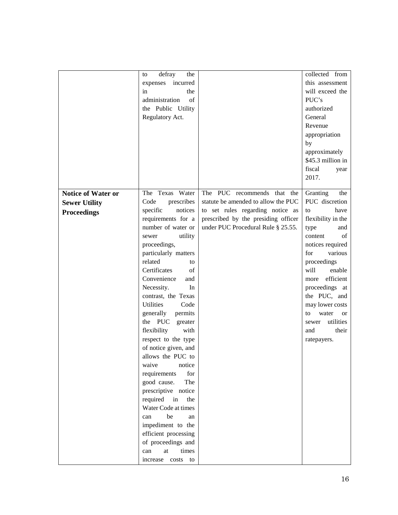|                           | defray<br>the<br>to      |                                     | collected from           |
|---------------------------|--------------------------|-------------------------------------|--------------------------|
|                           | expenses incurred        |                                     | this assessment          |
|                           | the<br>in                |                                     | will exceed the          |
|                           | administration<br>of     |                                     | PUC's                    |
|                           | the Public Utility       |                                     | authorized               |
|                           | Regulatory Act.          |                                     | General                  |
|                           |                          |                                     | Revenue                  |
|                           |                          |                                     |                          |
|                           |                          |                                     | appropriation            |
|                           |                          |                                     | by                       |
|                           |                          |                                     | approximately            |
|                           |                          |                                     | \$45.3 million in        |
|                           |                          |                                     | fiscal<br>year           |
|                           |                          |                                     | 2017.                    |
|                           |                          |                                     |                          |
| <b>Notice of Water or</b> | The Texas Water          | The PUC recommends that the         | Granting<br>the          |
| <b>Sewer Utility</b>      | Code<br>prescribes       | statute be amended to allow the PUC | PUC discretion           |
| <b>Proceedings</b>        | specific<br>notices      | to set rules regarding notice as    | have<br>to               |
|                           | requirements for a       | prescribed by the presiding officer | flexibility in the       |
|                           | number of water or       | under PUC Procedural Rule § 25.55.  | type<br>and              |
|                           | utility<br>sewer         |                                     | content<br>of            |
|                           | proceedings,             |                                     | notices required         |
|                           | particularly matters     |                                     | for<br>various           |
|                           | related<br>to            |                                     | proceedings              |
|                           | Certificates<br>of       |                                     | will<br>enable           |
|                           | Convenience<br>and       |                                     | efficient<br>more        |
|                           | Necessity.<br>In         |                                     | proceedings at           |
|                           | contrast, the Texas      |                                     | the PUC, and             |
|                           | <b>Utilities</b><br>Code |                                     | may lower costs          |
|                           | generally<br>permits     |                                     | water<br>to<br><b>or</b> |
|                           | the PUC<br>greater       |                                     | utilities<br>sewer       |
|                           | flexibility<br>with      |                                     | their<br>and             |
|                           | respect to the type      |                                     | ratepayers.              |
|                           | of notice given, and     |                                     |                          |
|                           | allows the PUC to        |                                     |                          |
|                           | notice<br>waive          |                                     |                          |
|                           | requirements<br>for      |                                     |                          |
|                           | The                      |                                     |                          |
|                           | good cause.              |                                     |                          |
|                           | prescriptive notice      |                                     |                          |
|                           | required in<br>the       |                                     |                          |
|                           | Water Code at times      |                                     |                          |
|                           | be<br>can<br>an          |                                     |                          |
|                           | impediment to the        |                                     |                          |
|                           | efficient processing     |                                     |                          |
|                           | of proceedings and       |                                     |                          |
|                           | times<br>can<br>at       |                                     |                          |
|                           | costs<br>increase<br>to  |                                     |                          |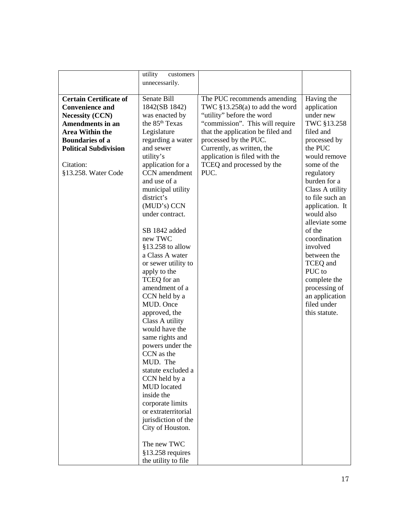|                               | utility<br>customers       |                                   |                 |
|-------------------------------|----------------------------|-----------------------------------|-----------------|
|                               |                            |                                   |                 |
|                               | unnecessarily.             |                                   |                 |
|                               |                            |                                   |                 |
| <b>Certain Certificate of</b> | Senate Bill                | The PUC recommends amending       | Having the      |
| <b>Convenience and</b>        | 1842(SB 1842)              | TWC $$13.258(a)$ to add the word  | application     |
| <b>Necessity (CCN)</b>        | was enacted by             | "utility" before the word         | under new       |
| <b>Amendments in an</b>       | the 85 <sup>th</sup> Texas | "commission". This will require   | TWC §13.258     |
| <b>Area Within the</b>        | Legislature                | that the application be filed and | filed and       |
| <b>Boundaries of a</b>        | regarding a water          | processed by the PUC.             | processed by    |
| <b>Political Subdivision</b>  | and sewer                  | Currently, as written, the        | the PUC         |
|                               |                            |                                   | would remove    |
|                               | utility's                  | application is filed with the     |                 |
| Citation:                     | application for a          | TCEQ and processed by the         | some of the     |
| §13.258. Water Code           | CCN amendment              | PUC.                              | regulatory      |
|                               | and use of a               |                                   | burden for a    |
|                               | municipal utility          |                                   | Class A utility |
|                               | district's                 |                                   | to file such an |
|                               | (MUD's) CCN                |                                   | application. It |
|                               | under contract.            |                                   | would also      |
|                               |                            |                                   | alleviate some  |
|                               | SB 1842 added              |                                   | of the          |
|                               | new TWC                    |                                   | coordination    |
|                               | §13.258 to allow           |                                   | involved        |
|                               | a Class A water            |                                   | between the     |
|                               |                            |                                   |                 |
|                               | or sewer utility to        |                                   | TCEQ and        |
|                               | apply to the               |                                   | PUC to          |
|                               | TCEQ for an                |                                   | complete the    |
|                               | amendment of a             |                                   | processing of   |
|                               | CCN held by a              |                                   | an application  |
|                               | MUD. Once                  |                                   | filed under     |
|                               | approved, the              |                                   | this statute.   |
|                               | Class A utility            |                                   |                 |
|                               | would have the             |                                   |                 |
|                               | same rights and            |                                   |                 |
|                               | powers under the           |                                   |                 |
|                               | CCN as the                 |                                   |                 |
|                               | MUD. The                   |                                   |                 |
|                               | statute excluded a         |                                   |                 |
|                               | CCN held by a              |                                   |                 |
|                               | MUD located                |                                   |                 |
|                               | inside the                 |                                   |                 |
|                               | corporate limits           |                                   |                 |
|                               | or extraterritorial        |                                   |                 |
|                               |                            |                                   |                 |
|                               | jurisdiction of the        |                                   |                 |
|                               | City of Houston.           |                                   |                 |
|                               |                            |                                   |                 |
|                               | The new TWC                |                                   |                 |
|                               | $§13.258$ requires         |                                   |                 |
|                               | the utility to file        |                                   |                 |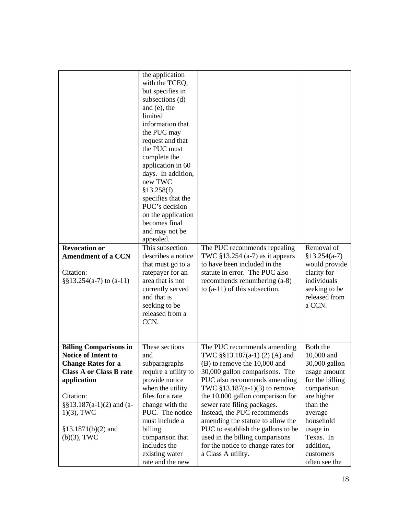| <b>Revocation or</b><br><b>Amendment of a CCN</b><br>Citation:<br>$\S$ §13.254(a-7) to (a-11) | the application<br>with the TCEQ,<br>but specifies in<br>subsections (d)<br>and (e), the<br>limited<br>information that<br>the PUC may<br>request and that<br>the PUC must<br>complete the<br>application in 60<br>days. In addition,<br>new TWC<br>§13.258(f)<br>specifies that the<br>PUC's decision<br>on the application<br>becomes final<br>and may not be<br>appealed.<br>This subsection<br>describes a notice<br>that must go to a<br>ratepayer for an<br>area that is not<br>currently served<br>and that is<br>seeking to be<br>released from a<br>CCN. | The PUC recommends repealing<br>TWC $$13.254$ (a-7) as it appears<br>to have been included in the<br>statute in error. The PUC also<br>recommends renumbering (a-8)<br>to $(a-11)$ of this subsection. | Removal of<br>$$13.254(a-7)$<br>would provide<br>clarity for<br>individuals<br>seeking to be<br>released from<br>a CCN. |
|-----------------------------------------------------------------------------------------------|-------------------------------------------------------------------------------------------------------------------------------------------------------------------------------------------------------------------------------------------------------------------------------------------------------------------------------------------------------------------------------------------------------------------------------------------------------------------------------------------------------------------------------------------------------------------|--------------------------------------------------------------------------------------------------------------------------------------------------------------------------------------------------------|-------------------------------------------------------------------------------------------------------------------------|
| <b>Billing Comparisons in</b>                                                                 | These sections                                                                                                                                                                                                                                                                                                                                                                                                                                                                                                                                                    | The PUC recommends amending                                                                                                                                                                            | Both the                                                                                                                |
| <b>Notice of Intent to</b><br><b>Change Rates for a</b>                                       | and<br>subparagraphs                                                                                                                                                                                                                                                                                                                                                                                                                                                                                                                                              | TWC $\S$ §13.187(a-1)(2)(A) and<br>$(B)$ to remove the 10,000 and                                                                                                                                      | 10,000 and<br>30,000 gallon                                                                                             |
| <b>Class A or Class B rate</b>                                                                | require a utility to                                                                                                                                                                                                                                                                                                                                                                                                                                                                                                                                              | 30,000 gallon comparisons. The                                                                                                                                                                         | usage amount                                                                                                            |
| application                                                                                   | provide notice                                                                                                                                                                                                                                                                                                                                                                                                                                                                                                                                                    | PUC also recommends amending                                                                                                                                                                           | for the billing                                                                                                         |
| Citation:                                                                                     | when the utility<br>files for a rate                                                                                                                                                                                                                                                                                                                                                                                                                                                                                                                              | TWC $$13.187(a-1)(3)$ to remove<br>the 10,000 gallon comparison for                                                                                                                                    | comparison<br>are higher                                                                                                |
| $\S$ §13.187(a-1)(2) and (a-                                                                  | change with the                                                                                                                                                                                                                                                                                                                                                                                                                                                                                                                                                   | sewer rate filing packages.                                                                                                                                                                            | than the                                                                                                                |
| $1(3)$ , TWC                                                                                  | PUC. The notice                                                                                                                                                                                                                                                                                                                                                                                                                                                                                                                                                   | Instead, the PUC recommends                                                                                                                                                                            | average                                                                                                                 |
| $$13.1871(b)(2)$ and                                                                          | must include a<br>billing                                                                                                                                                                                                                                                                                                                                                                                                                                                                                                                                         | amending the statute to allow the<br>PUC to establish the gallons to be                                                                                                                                | household<br>usage in                                                                                                   |
| $(b)(3)$ , TWC                                                                                | comparison that                                                                                                                                                                                                                                                                                                                                                                                                                                                                                                                                                   | used in the billing comparisons                                                                                                                                                                        | Texas. In                                                                                                               |
|                                                                                               | includes the                                                                                                                                                                                                                                                                                                                                                                                                                                                                                                                                                      | for the notice to change rates for                                                                                                                                                                     | addition,                                                                                                               |
|                                                                                               | existing water                                                                                                                                                                                                                                                                                                                                                                                                                                                                                                                                                    | a Class A utility.                                                                                                                                                                                     | customers                                                                                                               |
|                                                                                               | rate and the new                                                                                                                                                                                                                                                                                                                                                                                                                                                                                                                                                  |                                                                                                                                                                                                        | often see the                                                                                                           |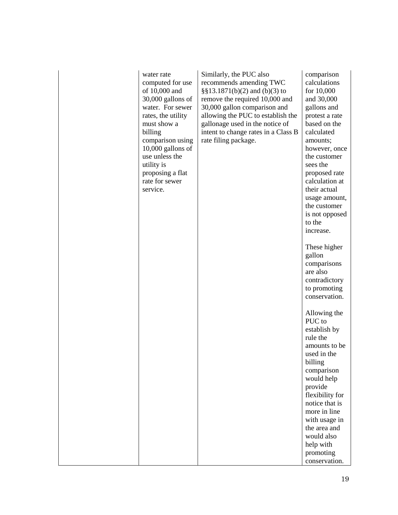| water rate<br>computed for use<br>of 10,000 and<br>30,000 gallons of<br>water. For sewer<br>rates, the utility<br>must show a<br>billing<br>comparison using<br>$10,000$ gallons of<br>use unless the<br>utility is<br>proposing a flat<br>rate for sewer<br>service. | Similarly, the PUC also<br>recommends amending TWC<br>$\S$ §13.1871(b)(2) and (b)(3) to<br>remove the required 10,000 and<br>30,000 gallon comparison and<br>allowing the PUC to establish the<br>gallonage used in the notice of<br>intent to change rates in a Class B<br>rate filing package. | comparison<br>calculations<br>for 10,000<br>and 30,000<br>gallons and<br>protest a rate<br>based on the<br>calculated<br>amounts;<br>however, once<br>the customer<br>sees the<br>proposed rate<br>calculation at<br>their actual<br>usage amount,<br>the customer<br>is not opposed<br>to the<br>increase. |
|-----------------------------------------------------------------------------------------------------------------------------------------------------------------------------------------------------------------------------------------------------------------------|--------------------------------------------------------------------------------------------------------------------------------------------------------------------------------------------------------------------------------------------------------------------------------------------------|-------------------------------------------------------------------------------------------------------------------------------------------------------------------------------------------------------------------------------------------------------------------------------------------------------------|
|                                                                                                                                                                                                                                                                       |                                                                                                                                                                                                                                                                                                  | These higher<br>gallon<br>comparisons<br>are also<br>contradictory<br>to promoting<br>conservation.                                                                                                                                                                                                         |
|                                                                                                                                                                                                                                                                       |                                                                                                                                                                                                                                                                                                  | Allowing the<br>PUC to<br>establish by<br>rule the<br>amounts to be<br>used in the<br>billing<br>comparison<br>would help<br>provide<br>flexibility for<br>notice that is<br>more in line<br>with usage in<br>the area and<br>would also<br>help with<br>promoting<br>conservation.                         |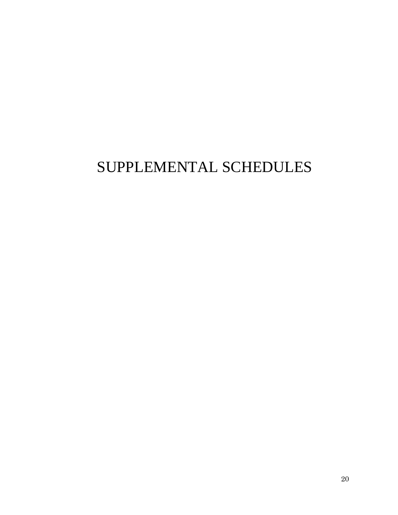# SUPPLEMENTAL SCHEDULES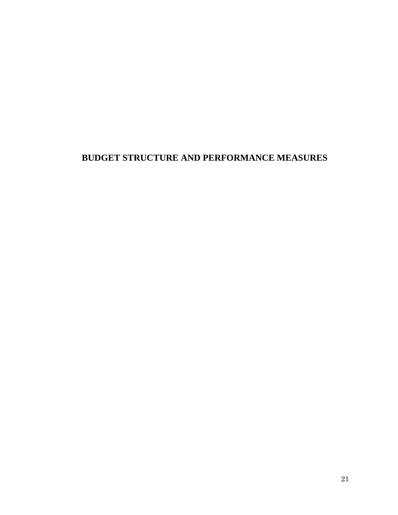# **BUDGET STRUCTURE AND PERFORMANCE MEASURES**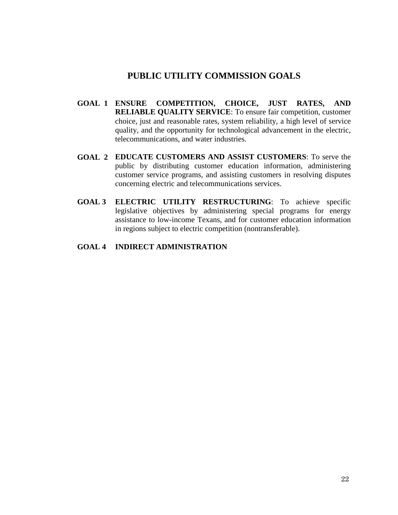## **PUBLIC UTILITY COMMISSION GOALS**

- **GOAL 1 ENSURE COMPETITION, CHOICE, JUST RATES, AND RELIABLE QUALITY SERVICE:** To ensure fair competition, customer choice, just and reasonable rates, system reliability, a high level of service quality, and the opportunity for technological advancement in the electric, telecommunications, and water industries.
- **GOAL 2 EDUCATE CUSTOMERS AND ASSIST CUSTOMERS**: To serve the public by distributing customer education information, administering customer service programs, and assisting customers in resolving disputes concerning electric and telecommunications services.
- **GOAL 3 ELECTRIC UTILITY RESTRUCTURING**: To achieve specific legislative objectives by administering special programs for energy assistance to low-income Texans, and for customer education information in regions subject to electric competition (nontransferable).

#### **GOAL 4 INDIRECT ADMINISTRATION**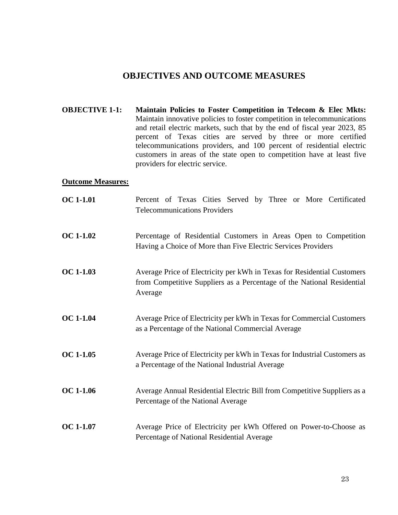## **OBJECTIVES AND OUTCOME MEASURES**

**OBJECTIVE 1-1:** Maintain Policies to Foster Competition in Telecom & Elec Mkts: Maintain innovative policies to foster competition in telecommunications and retail electric markets, such that by the end of fiscal year 2023, 85 percent of Texas cities are served by three or more certified telecommunications providers, and 100 percent of residential electric customers in areas of the state open to competition have at least five providers for electric service.

#### **Outcome Measures:**

| <b>OC</b> 1-1.01 | Percent of Texas Cities Served by Three or More Certificated<br><b>Telecommunications Providers</b>                                                          |
|------------------|--------------------------------------------------------------------------------------------------------------------------------------------------------------|
| <b>OC 1-1.02</b> | Percentage of Residential Customers in Areas Open to Competition<br>Having a Choice of More than Five Electric Services Providers                            |
| <b>OC 1-1.03</b> | Average Price of Electricity per kWh in Texas for Residential Customers<br>from Competitive Suppliers as a Percentage of the National Residential<br>Average |
| <b>OC 1-1.04</b> | Average Price of Electricity per kWh in Texas for Commercial Customers<br>as a Percentage of the National Commercial Average                                 |
| OC 1-1.05        | Average Price of Electricity per kWh in Texas for Industrial Customers as<br>a Percentage of the National Industrial Average                                 |
| <b>OC</b> 1-1.06 | Average Annual Residential Electric Bill from Competitive Suppliers as a<br>Percentage of the National Average                                               |
| <b>OC 1-1.07</b> | Average Price of Electricity per kWh Offered on Power-to-Choose as<br>Percentage of National Residential Average                                             |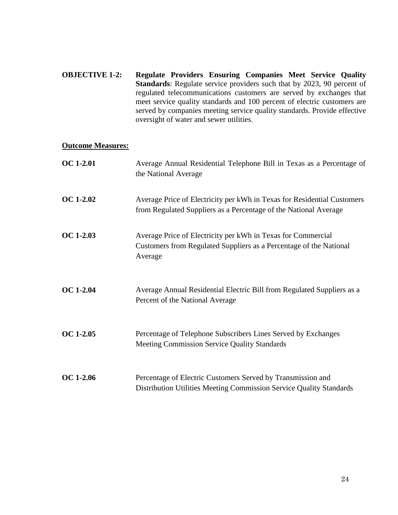**OBJECTIVE 1-2: Regulate Providers Ensuring Companies Meet Service Quality Standards**: Regulate service providers such that by 2023, 90 percent of regulated telecommunications customers are served by exchanges that meet service quality standards and 100 percent of electric customers are served by companies meeting service quality standards. Provide effective oversight of water and sewer utilities.

#### **Outcome Measures:**

| <b>OC</b> 1-2.01 | Average Annual Residential Telephone Bill in Texas as a Percentage of<br>the National Average                                                 |
|------------------|-----------------------------------------------------------------------------------------------------------------------------------------------|
| <b>OC 1-2.02</b> | Average Price of Electricity per kWh in Texas for Residential Customers<br>from Regulated Suppliers as a Percentage of the National Average   |
| <b>OC 1-2.03</b> | Average Price of Electricity per kWh in Texas for Commercial<br>Customers from Regulated Suppliers as a Percentage of the National<br>Average |
| <b>OC 1-2.04</b> | Average Annual Residential Electric Bill from Regulated Suppliers as a<br>Percent of the National Average                                     |
| <b>OC 1-2.05</b> | Percentage of Telephone Subscribers Lines Served by Exchanges<br>Meeting Commission Service Quality Standards                                 |
| <b>OC 1-2.06</b> | Percentage of Electric Customers Served by Transmission and<br>Distribution Utilities Meeting Commission Service Quality Standards            |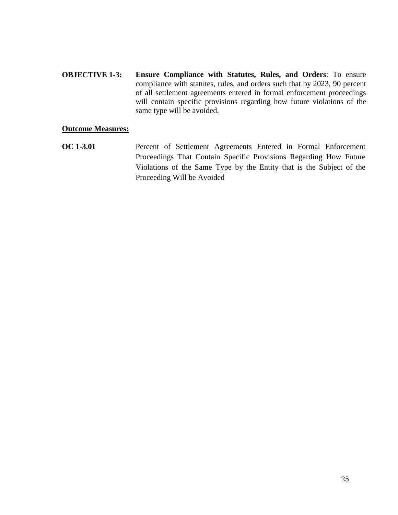**OBJECTIVE 1-3: Ensure Compliance with Statutes, Rules, and Orders**: To ensure compliance with statutes, rules, and orders such that by 2023, 90 percent of all settlement agreements entered in formal enforcement proceedings will contain specific provisions regarding how future violations of the same type will be avoided.

#### **Outcome Measures:**

**OC 1-3.01** Percent of Settlement Agreements Entered in Formal Enforcement Proceedings That Contain Specific Provisions Regarding How Future Violations of the Same Type by the Entity that is the Subject of the Proceeding Will be Avoided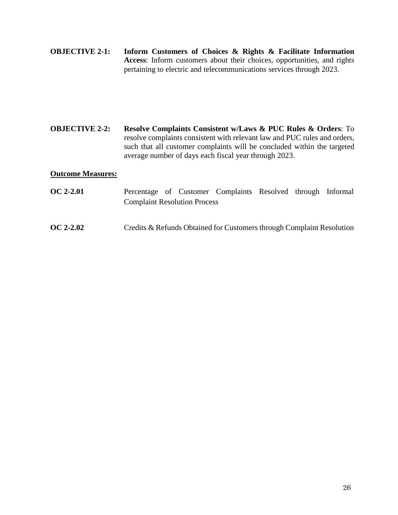**OBJECTIVE 2-1: Inform Customers of Choices & Rights & Facilitate Information Access**: Inform customers about their choices, opportunities, and rights pertaining to electric and telecommunications services through 2023.

**OBJECTIVE 2-2: Resolve Complaints Consistent w/Laws & PUC Rules & Orders**: To resolve complaints consistent with relevant law and PUC rules and orders, such that all customer complaints will be concluded within the targeted average number of days each fiscal year through 2023.

#### **Outcome Measures:**

- **OC 2-2.01** Percentage of Customer Complaints Resolved through Informal Complaint Resolution Process
- **OC 2-2.02** Credits & Refunds Obtained for Customers through Complaint Resolution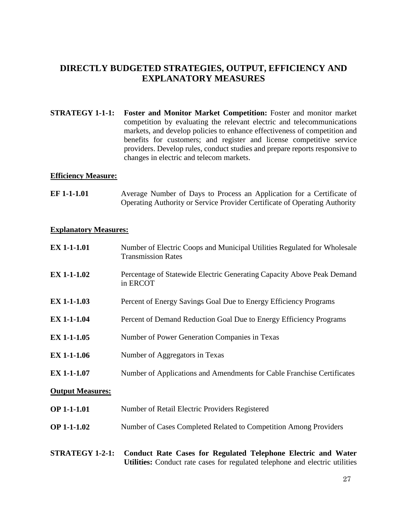## **DIRECTLY BUDGETED STRATEGIES, OUTPUT, EFFICIENCY AND EXPLANATORY MEASURES**

**STRATEGY 1-1-1: Foster and Monitor Market Competition:** Foster and monitor market competition by evaluating the relevant electric and telecommunications markets, and develop policies to enhance effectiveness of competition and benefits for customers; and register and license competitive service providers. Develop rules, conduct studies and prepare reports responsive to changes in electric and telecom markets.

#### **Efficiency Measure:**

**EF 1-1-1.01** • Average Number of Days to Process an Application for a Certificate of Operating Authority or Service Provider Certificate of Operating Authority

#### **Explanatory Measures:**

| <b>EX 1-1-1.01</b>      | Number of Electric Coops and Municipal Utilities Regulated for Wholesale<br><b>Transmission Rates</b>                                         |
|-------------------------|-----------------------------------------------------------------------------------------------------------------------------------------------|
| <b>EX 1-1-1.02</b>      | Percentage of Statewide Electric Generating Capacity Above Peak Demand<br>in ERCOT                                                            |
| <b>EX 1-1-1.03</b>      | Percent of Energy Savings Goal Due to Energy Efficiency Programs                                                                              |
| <b>EX 1-1-1.04</b>      | Percent of Demand Reduction Goal Due to Energy Efficiency Programs                                                                            |
| <b>EX 1-1-1.05</b>      | Number of Power Generation Companies in Texas                                                                                                 |
| <b>EX 1-1-1.06</b>      | Number of Aggregators in Texas                                                                                                                |
| <b>EX 1-1-1.07</b>      | Number of Applications and Amendments for Cable Franchise Certificates                                                                        |
| <b>Output Measures:</b> |                                                                                                                                               |
| <b>OP 1-1-1.01</b>      | Number of Retail Electric Providers Registered                                                                                                |
| <b>OP 1-1-1.02</b>      | Number of Cases Completed Related to Competition Among Providers                                                                              |
| <b>STRATEGY 1-2-1:</b>  | Conduct Rate Cases for Regulated Telephone Electric and Water<br>Utilities: Conduct rate cases for regulated telephone and electric utilities |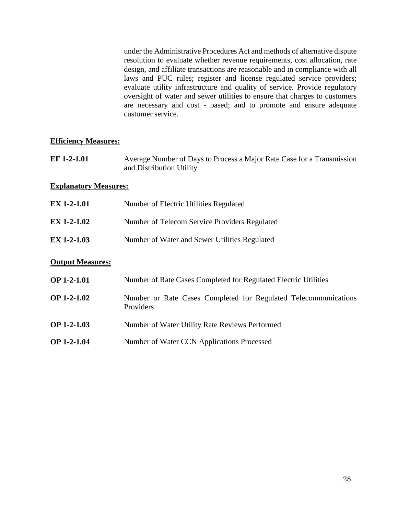under the Administrative Procedures Act and methods of alternative dispute resolution to evaluate whether revenue requirements, cost allocation, rate design, and affiliate transactions are reasonable and in compliance with all laws and PUC rules; register and license regulated service providers; evaluate utility infrastructure and quality of service. Provide regulatory oversight of water and sewer utilities to ensure that charges to customers are necessary and cost - based; and to promote and ensure adequate customer service.

#### **Efficiency Measures:**

| EF 1-2-1.01 | Average Number of Days to Process a Major Rate Case for a Transmission |
|-------------|------------------------------------------------------------------------|
|             | and Distribution Utility                                               |

#### **Explanatory Measures:**

| <b>EX 1-2-1.01</b>      | Number of Electric Utilities Regulated                                       |
|-------------------------|------------------------------------------------------------------------------|
| <b>EX 1-2-1.02</b>      | Number of Telecom Service Providers Regulated                                |
| <b>EX 1-2-1.03</b>      | Number of Water and Sewer Utilities Regulated                                |
| <b>Output Measures:</b> |                                                                              |
| <b>OP 1-2-1.01</b>      | Number of Rate Cases Completed for Regulated Electric Utilities              |
| $OP$ 1-2-1.02           | Number or Rate Cases Completed for Regulated Telecommunications<br>Providers |
| <b>OP 1-2-1.03</b>      | Number of Water Utility Rate Reviews Performed                               |
| $OP$ 1-2-1.04           | Number of Water CCN Applications Processed                                   |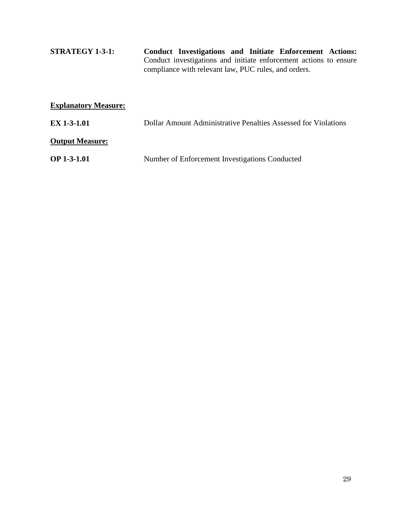**STRATEGY 1-3-1: Conduct Investigations and Initiate Enforcement Actions:**  Conduct investigations and initiate enforcement actions to ensure compliance with relevant law, PUC rules, and orders.

| <b>Explanatory Measure:</b> |                                                                       |
|-----------------------------|-----------------------------------------------------------------------|
| <b>EX 1-3-1.01</b>          | <b>Dollar Amount Administrative Penalties Assessed for Violations</b> |
| <b>Output Measure:</b>      |                                                                       |
| <b>OP 1-3-1.01</b>          | Number of Enforcement Investigations Conducted                        |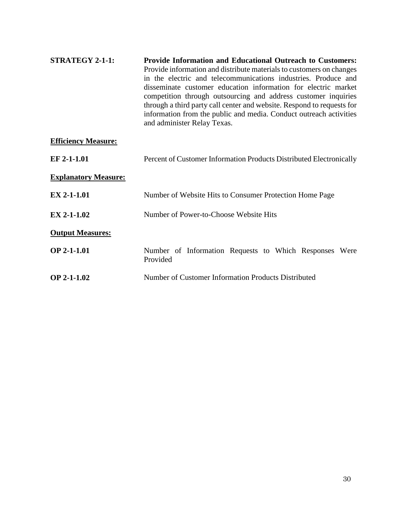| <b>STRATEGY 2-1-1:</b>     | <b>Provide Information and Educational Outreach to Customers:</b><br>Provide information and distribute materials to customers on changes<br>in the electric and telecommunications industries. Produce and<br>disseminate customer education information for electric market<br>competition through outsourcing and address customer inquiries<br>through a third party call center and website. Respond to requests for<br>information from the public and media. Conduct outreach activities<br>and administer Relay Texas. |
|----------------------------|--------------------------------------------------------------------------------------------------------------------------------------------------------------------------------------------------------------------------------------------------------------------------------------------------------------------------------------------------------------------------------------------------------------------------------------------------------------------------------------------------------------------------------|
| <b>Efficiency Measure:</b> |                                                                                                                                                                                                                                                                                                                                                                                                                                                                                                                                |

| EF 2-1-1.01                 | Percent of Customer Information Products Distributed Electronically |
|-----------------------------|---------------------------------------------------------------------|
| <b>Explanatory Measure:</b> |                                                                     |
| <b>EX 2-1-1.01</b>          | Number of Website Hits to Consumer Protection Home Page             |
| $EX 2-1-1.02$               | Number of Power-to-Choose Website Hits                              |
| <b>Output Measures:</b>     |                                                                     |
| <b>OP 2-1-1.01</b>          | Number of Information Requests to Which Responses Were<br>Provided  |
| $OP$ 2-1-1.02               | Number of Customer Information Products Distributed                 |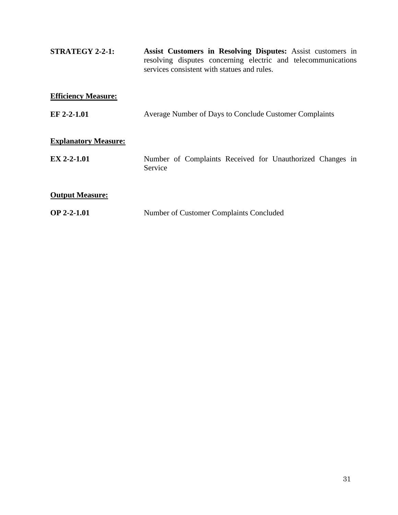| <b>STRATEGY 2-2-1:</b>      | Assist Customers in Resolving Disputes: Assist customers in<br>resolving disputes concerning electric and telecommunications<br>services consistent with statues and rules. |
|-----------------------------|-----------------------------------------------------------------------------------------------------------------------------------------------------------------------------|
| <b>Efficiency Measure:</b>  |                                                                                                                                                                             |
| EF 2-2-1.01                 | Average Number of Days to Conclude Customer Complaints                                                                                                                      |
| <b>Explanatory Measure:</b> |                                                                                                                                                                             |
| EX 2-2-1.01                 | Number of Complaints Received for Unauthorized Changes in<br>Service                                                                                                        |
| <b>Output Measure:</b>      |                                                                                                                                                                             |
| <b>OP 2-2-1.01</b>          | Number of Customer Complaints Concluded                                                                                                                                     |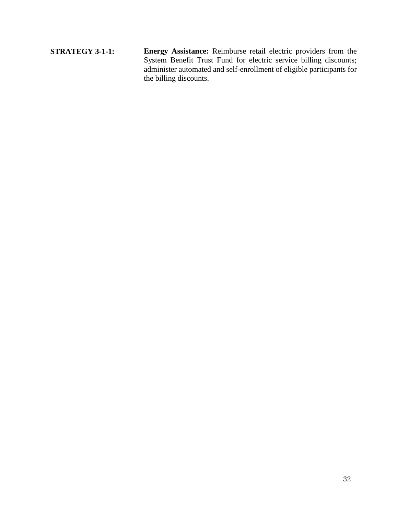**STRATEGY 3-1-1: Energy Assistance:** Reimburse retail electric providers from the System Benefit Trust Fund for electric service billing discounts; administer automated and self-enrollment of eligible participants for the billing discounts.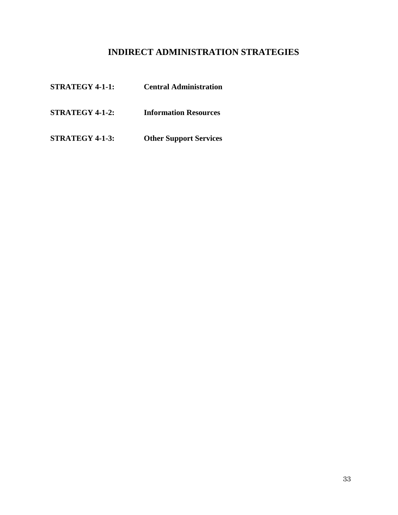# **INDIRECT ADMINISTRATION STRATEGIES**

| <b>STRATEGY 4-1-1:</b> | <b>Central Administration</b> |
|------------------------|-------------------------------|
| <b>STRATEGY 4-1-2:</b> | <b>Information Resources</b>  |
| <b>STRATEGY 4-1-3:</b> | <b>Other Support Services</b> |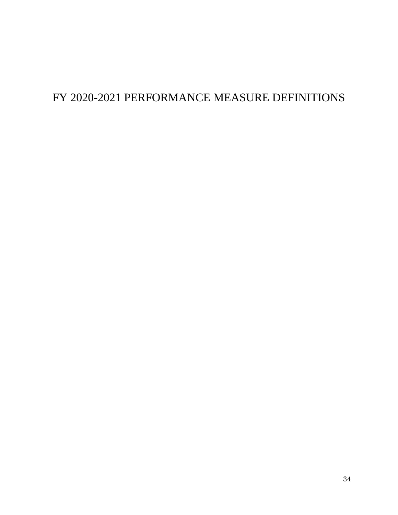# FY 2020-2021 PERFORMANCE MEASURE DEFINITIONS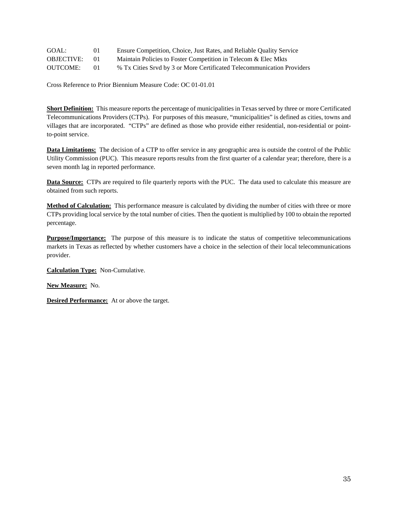| GOAL:             |    | Ensure Competition, Choice, Just Rates, and Reliable Quality Service   |
|-------------------|----|------------------------------------------------------------------------|
| <b>OBJECTIVE:</b> | 01 | Maintain Policies to Foster Competition in Telecom & Elec Mkts         |
| <b>OUTCOME:</b>   | 01 | % Tx Cities Sryd by 3 or More Certificated Telecommunication Providers |

**Short Definition:** This measure reports the percentage of municipalities in Texas served by three or more Certificated Telecommunications Providers (CTPs). For purposes of this measure, "municipalities" is defined as cities, towns and villages that are incorporated. "CTPs" are defined as those who provide either residential, non-residential or pointto-point service.

**Data Limitations:** The decision of a CTP to offer service in any geographic area is outside the control of the Public Utility Commission (PUC). This measure reports results from the first quarter of a calendar year; therefore, there is a seven month lag in reported performance.

**Data Source:** CTPs are required to file quarterly reports with the PUC. The data used to calculate this measure are obtained from such reports.

**Method of Calculation:** This performance measure is calculated by dividing the number of cities with three or more CTPs providing local service by the total number of cities. Then the quotient is multiplied by 100 to obtain the reported percentage.

**Purpose/Importance:** The purpose of this measure is to indicate the status of competitive telecommunications markets in Texas as reflected by whether customers have a choice in the selection of their local telecommunications provider.

**Calculation Type:** Non-Cumulative.

**New Measure:** No.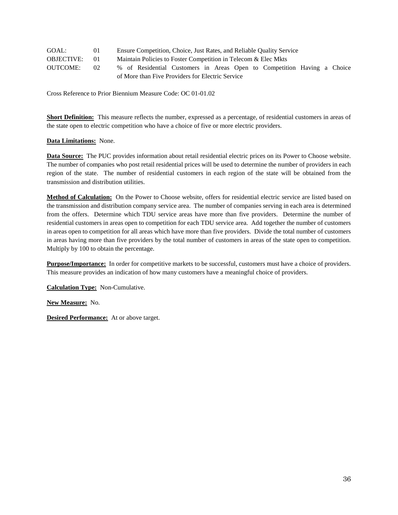| GOAL:             | 01              | Ensure Competition, Choice, Just Rates, and Reliable Quality Service    |
|-------------------|-----------------|-------------------------------------------------------------------------|
| <b>OBJECTIVE:</b> | (1)             | Maintain Policies to Foster Competition in Telecom & Elec Mkts          |
| <b>OUTCOME:</b>   | 02 <sub>1</sub> | % of Residential Customers in Areas Open to Competition Having a Choice |
|                   |                 | of More than Five Providers for Electric Service                        |

**Short Definition:** This measure reflects the number, expressed as a percentage, of residential customers in areas of the state open to electric competition who have a choice of five or more electric providers.

### **Data Limitations:** None.

**Data Source:** The PUC provides information about retail residential electric prices on its Power to Choose website. The number of companies who post retail residential prices will be used to determine the number of providers in each region of the state. The number of residential customers in each region of the state will be obtained from the transmission and distribution utilities.

**Method of Calculation:** On the Power to Choose website, offers for residential electric service are listed based on the transmission and distribution company service area. The number of companies serving in each area is determined from the offers. Determine which TDU service areas have more than five providers. Determine the number of residential customers in areas open to competition for each TDU service area. Add together the number of customers in areas open to competition for all areas which have more than five providers. Divide the total number of customers in areas having more than five providers by the total number of customers in areas of the state open to competition. Multiply by 100 to obtain the percentage.

**Purpose/Importance:** In order for competitive markets to be successful, customers must have a choice of providers. This measure provides an indication of how many customers have a meaningful choice of providers.

**Calculation Type:** Non-Cumulative.

**New Measure:** No.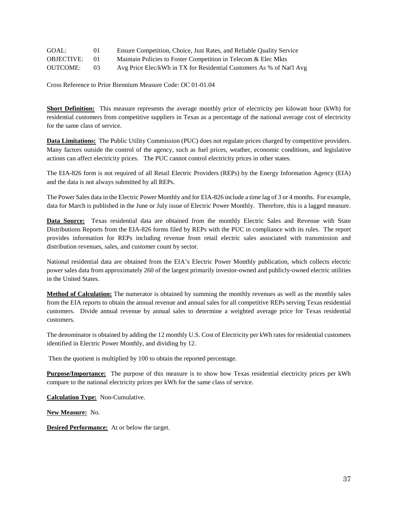| GOAL:             | 0 <sup>1</sup> | Ensure Competition, Choice, Just Rates, and Reliable Quality Service |
|-------------------|----------------|----------------------------------------------------------------------|
| <b>OBJECTIVE:</b> | $^{01}$        | Maintain Policies to Foster Competition in Telecom & Elec Mkts       |
| <b>OUTCOME:</b>   | 03             | Avg Price Elec/kWh in TX for Residential Customers As % of Nat'l Avg |

**Short Definition:** This measure represents the average monthly price of electricity per kilowatt hour (kWh) for residential customers from competitive suppliers in Texas as a percentage of the national average cost of electricity for the same class of service.

**Data Limitations:** The Public Utility Commission (PUC) does not regulate prices charged by competitive providers. Many factors outside the control of the agency, such as fuel prices, weather, economic conditions, and legislative actions can affect electricity prices. The PUC cannot control electricity prices in other states.

The EIA-826 form is not required of all Retail Electric Providers (REPs) by the Energy Information Agency (EIA) and the data is not always submitted by all REPs.

The Power Sales data in the Electric Power Monthly and for EIA-826 include a time lag of 3 or 4 months. For example, data for March is published in the June or July issue of Electric Power Monthly. Therefore, this is a lagged measure.

Data Source: Texas residential data are obtained from the monthly Electric Sales and Revenue with State Distributions Reports from the EIA-826 forms filed by REPs with the PUC in compliance with its rules. The report provides information for REPs including revenue from retail electric sales associated with transmission and distribution revenues, sales, and customer count by sector.

National residential data are obtained from the EIA's Electric Power Monthly publication, which collects electric power sales data from approximately 260 of the largest primarily investor-owned and publicly-owned electric utilities in the United States.

**Method of Calculation:** The numerator is obtained by summing the monthly revenues as well as the monthly sales from the EIA reports to obtain the annual revenue and annual sales for all competitive REPs serving Texas residential customers. Divide annual revenue by annual sales to determine a weighted average price for Texas residential customers.

The denominator is obtained by adding the 12 monthly U.S. Cost of Electricity per kWh rates for residential customers identified in Electric Power Monthly, and dividing by 12.

Then the quotient is multiplied by 100 to obtain the reported percentage.

**Purpose/Importance:** The purpose of this measure is to show how Texas residential electricity prices per kWh compare to the national electricity prices per kWh for the same class of service.

**Calculation Type:** Non-Cumulative.

**New Measure:** No.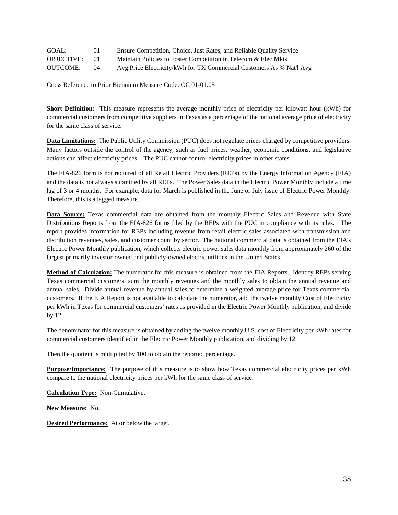| GOAL:             | 01       | Ensure Competition, Choice, Just Rates, and Reliable Quality Service |
|-------------------|----------|----------------------------------------------------------------------|
| <b>OBJECTIVE:</b> | $\Omega$ | Maintain Policies to Foster Competition in Telecom & Elec Mkts       |
| <b>OUTCOME:</b>   | $^{04}$  | Avg Price Electricity/kWh for TX Commercial Customers As % Nat'l Avg |

**Short Definition:** This measure represents the average monthly price of electricity per kilowatt hour (kWh) for commercial customers from competitive suppliers in Texas as a percentage of the national average price of electricity for the same class of service.

**Data Limitations:** The Public Utility Commission (PUC) does not regulate prices charged by competitive providers. Many factors outside the control of the agency, such as fuel prices, weather, economic conditions, and legislative actions can affect electricity prices. The PUC cannot control electricity prices in other states.

The EIA-826 form is not required of all Retail Electric Providers (REPs) by the Energy Information Agency (EIA) and the data is not always submitted by all REPs. The Power Sales data in the Electric Power Monthly include a time lag of 3 or 4 months. For example, data for March is published in the June or July issue of Electric Power Monthly. Therefore, this is a lagged measure.

**Data Source:** Texas commercial data are obtained from the monthly Electric Sales and Revenue with State Distributions Reports from the EIA-826 forms filed by the REPs with the PUC in compliance with its rules. The report provides information for REPs including revenue from retail electric sales associated with transmission and distribution revenues, sales, and customer count by sector. The national commercial data is obtained from the EIA's Electric Power Monthly publication, which collects electric power sales data monthly from approximately 260 of the largest primarily investor-owned and publicly-owned electric utilities in the United States.

**Method of Calculation:** The numerator for this measure is obtained from the EIA Reports. Identify REPs serving Texas commercial customers, sum the monthly revenues and the monthly sales to obtain the annual revenue and annual sales. Divide annual revenue by annual sales to determine a weighted average price for Texas commercial customers. If the EIA Report is not available to calculate the numerator, add the twelve monthly Cost of Electricity per kWh in Texas for commercial customers' rates as provided in the Electric Power Monthly publication, and divide by 12.

The denominator for this measure is obtained by adding the twelve monthly U.S. cost of Electricity per kWh rates for commercial customers identified in the Electric Power Monthly publication, and dividing by 12.

Then the quotient is multiplied by 100 to obtain the reported percentage.

**Purpose/Importance:** The purpose of this measure is to show how Texas commercial electricity prices per kWh compare to the national electricity prices per kWh for the same class of service.

**Calculation Type:** Non-Cumulative.

**New Measure:** No.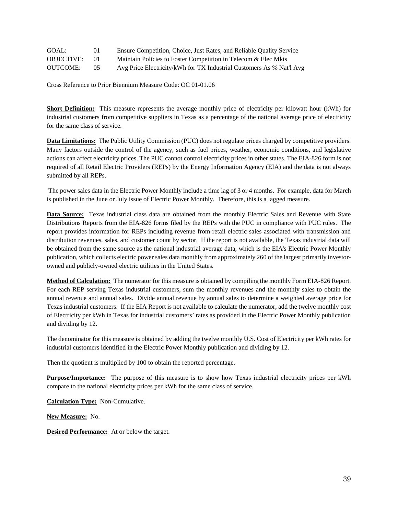| GOAL:             | 01      | Ensure Competition, Choice, Just Rates, and Reliable Quality Service |
|-------------------|---------|----------------------------------------------------------------------|
| <b>OBJECTIVE:</b> | $^{01}$ | Maintain Policies to Foster Competition in Telecom & Elec Mkts       |
| <b>OUTCOME:</b>   | 05      | Avg Price Electricity/kWh for TX Industrial Customers As % Nat'l Avg |

**Short Definition:** This measure represents the average monthly price of electricity per kilowatt hour (kWh) for industrial customers from competitive suppliers in Texas as a percentage of the national average price of electricity for the same class of service.

**Data Limitations:** The Public Utility Commission (PUC) does not regulate prices charged by competitive providers. Many factors outside the control of the agency, such as fuel prices, weather, economic conditions, and legislative actions can affect electricity prices. The PUC cannot control electricity prices in other states. The EIA-826 form is not required of all Retail Electric Providers (REPs) by the Energy Information Agency (EIA) and the data is not always submitted by all REPs.

The power sales data in the Electric Power Monthly include a time lag of 3 or 4 months. For example, data for March is published in the June or July issue of Electric Power Monthly. Therefore, this is a lagged measure.

**Data Source:** Texas industrial class data are obtained from the monthly Electric Sales and Revenue with State Distributions Reports from the EIA-826 forms filed by the REPs with the PUC in compliance with PUC rules. The report provides information for REPs including revenue from retail electric sales associated with transmission and distribution revenues, sales, and customer count by sector. If the report is not available, the Texas industrial data will be obtained from the same source as the national industrial average data, which is the EIA's Electric Power Monthly publication, which collects electric power sales data monthly from approximately 260 of the largest primarily investorowned and publicly-owned electric utilities in the United States.

**Method of Calculation:** The numerator for this measure is obtained by compiling the monthly Form EIA-826 Report. For each REP serving Texas industrial customers, sum the monthly revenues and the monthly sales to obtain the annual revenue and annual sales. Divide annual revenue by annual sales to determine a weighted average price for Texas industrial customers. If the EIA Report is not available to calculate the numerator, add the twelve monthly cost of Electricity per kWh in Texas for industrial customers' rates as provided in the Electric Power Monthly publication and dividing by 12.

The denominator for this measure is obtained by adding the twelve monthly U.S. Cost of Electricity per kWh rates for industrial customers identified in the Electric Power Monthly publication and dividing by 12.

Then the quotient is multiplied by 100 to obtain the reported percentage.

**Purpose/Importance:** The purpose of this measure is to show how Texas industrial electricity prices per kWh compare to the national electricity prices per kWh for the same class of service.

**Calculation Type:** Non-Cumulative.

**New Measure:** No.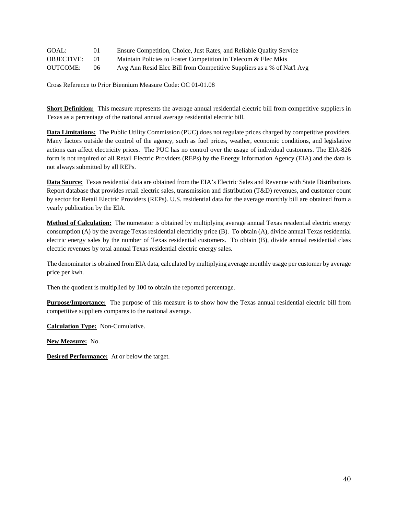| GOAL:             | 01  | Ensure Competition, Choice, Just Rates, and Reliable Quality Service   |
|-------------------|-----|------------------------------------------------------------------------|
| <b>OBJECTIVE:</b> |     | Maintain Policies to Foster Competition in Telecom & Elec Mkts         |
| <b>OUTCOME:</b>   | 06. | Avg Ann Resid Elec Bill from Competitive Suppliers as a % of Nat'l Avg |

**Short Definition:** This measure represents the average annual residential electric bill from competitive suppliers in Texas as a percentage of the national annual average residential electric bill.

**Data Limitations:** The Public Utility Commission (PUC) does not regulate prices charged by competitive providers. Many factors outside the control of the agency, such as fuel prices, weather, economic conditions, and legislative actions can affect electricity prices. The PUC has no control over the usage of individual customers. The EIA-826 form is not required of all Retail Electric Providers (REPs) by the Energy Information Agency (EIA) and the data is not always submitted by all REPs.

**Data Source:** Texas residential data are obtained from the EIA's Electric Sales and Revenue with State Distributions Report database that provides retail electric sales, transmission and distribution (T&D) revenues, and customer count by sector for Retail Electric Providers (REPs). U.S. residential data for the average monthly bill are obtained from a yearly publication by the EIA.

**Method of Calculation:** The numerator is obtained by multiplying average annual Texas residential electric energy consumption (A) by the average Texas residential electricity price (B). To obtain (A), divide annual Texas residential electric energy sales by the number of Texas residential customers. To obtain (B), divide annual residential class electric revenues by total annual Texas residential electric energy sales.

The denominator is obtained from EIA data, calculated by multiplying average monthly usage per customer by average price per kwh.

Then the quotient is multiplied by 100 to obtain the reported percentage.

**Purpose/Importance:** The purpose of this measure is to show how the Texas annual residential electric bill from competitive suppliers compares to the national average.

**Calculation Type:** Non-Cumulative.

**New Measure:** No.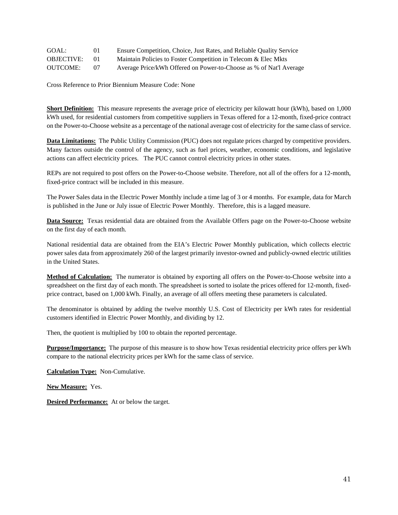| GOAL:             | 01      | Ensure Competition, Choice, Just Rates, and Reliable Quality Service |
|-------------------|---------|----------------------------------------------------------------------|
| <b>OBJECTIVE:</b> | $^{01}$ | Maintain Policies to Foster Competition in Telecom & Elec Mkts       |
| <b>OUTCOME:</b>   | 07      | Average Price/kWh Offered on Power-to-Choose as % of Nat'l Average   |

Cross Reference to Prior Biennium Measure Code: None

**Short Definition:** This measure represents the average price of electricity per kilowatt hour (kWh), based on 1,000 kWh used, for residential customers from competitive suppliers in Texas offered for a 12-month, fixed-price contract on the Power-to-Choose website as a percentage of the national average cost of electricity for the same class of service.

**Data Limitations:** The Public Utility Commission (PUC) does not regulate prices charged by competitive providers. Many factors outside the control of the agency, such as fuel prices, weather, economic conditions, and legislative actions can affect electricity prices. The PUC cannot control electricity prices in other states.

REPs are not required to post offers on the Power-to-Choose website. Therefore, not all of the offers for a 12-month, fixed-price contract will be included in this measure.

The Power Sales data in the Electric Power Monthly include a time lag of 3 or 4 months. For example, data for March is published in the June or July issue of Electric Power Monthly. Therefore, this is a lagged measure.

**Data Source:** Texas residential data are obtained from the Available Offers page on the Power-to-Choose website on the first day of each month.

National residential data are obtained from the EIA's Electric Power Monthly publication, which collects electric power sales data from approximately 260 of the largest primarily investor-owned and publicly-owned electric utilities in the United States.

**Method of Calculation:** The numerator is obtained by exporting all offers on the Power-to-Choose website into a spreadsheet on the first day of each month. The spreadsheet is sorted to isolate the prices offered for 12-month, fixedprice contract, based on 1,000 kWh. Finally, an average of all offers meeting these parameters is calculated.

The denominator is obtained by adding the twelve monthly U.S. Cost of Electricity per kWh rates for residential customers identified in Electric Power Monthly, and dividing by 12.

Then, the quotient is multiplied by 100 to obtain the reported percentage.

**Purpose/Importance:** The purpose of this measure is to show how Texas residential electricity price offers per kWh compare to the national electricity prices per kWh for the same class of service.

**Calculation Type:** Non-Cumulative.

**New Measure:** Yes.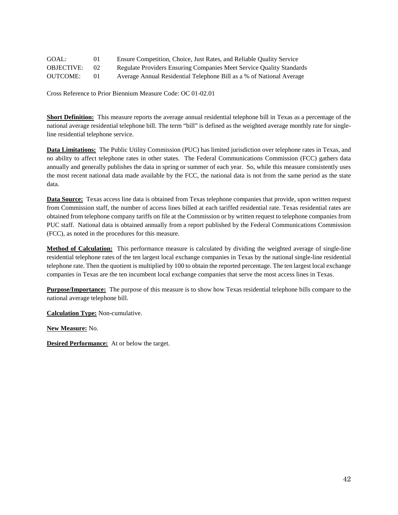| GOAL:             | 01      | Ensure Competition, Choice, Just Rates, and Reliable Quality Service |
|-------------------|---------|----------------------------------------------------------------------|
| <b>OBJECTIVE:</b> | 02      | Regulate Providers Ensuring Companies Meet Service Quality Standards |
| <b>OUTCOME:</b>   | $^{01}$ | Average Annual Residential Telephone Bill as a % of National Average |

**Short Definition:** This measure reports the average annual residential telephone bill in Texas as a percentage of the national average residential telephone bill. The term "bill" is defined as the weighted average monthly rate for singleline residential telephone service.

**Data Limitations:** The Public Utility Commission (PUC) has limited jurisdiction over telephone rates in Texas, and no ability to affect telephone rates in other states. The Federal Communications Commission (FCC) gathers data annually and generally publishes the data in spring or summer of each year. So, while this measure consistently uses the most recent national data made available by the FCC, the national data is not from the same period as the state data.

**Data Source:** Texas access line data is obtained from Texas telephone companies that provide, upon written request from Commission staff, the number of access lines billed at each tariffed residential rate. Texas residential rates are obtained from telephone company tariffs on file at the Commission or by written request to telephone companies from PUC staff. National data is obtained annually from a report published by the Federal Communications Commission (FCC), as noted in the procedures for this measure.

**Method of Calculation:** This performance measure is calculated by dividing the weighted average of single-line residential telephone rates of the ten largest local exchange companies in Texas by the national single-line residential telephone rate. Then the quotient is multiplied by 100 to obtain the reported percentage. The ten largest local exchange companies in Texas are the ten incumbent local exchange companies that serve the most access lines in Texas.

**Purpose/Importance:** The purpose of this measure is to show how Texas residential telephone bills compare to the national average telephone bill.

**Calculation Type:** Non-cumulative.

**New Measure:** No.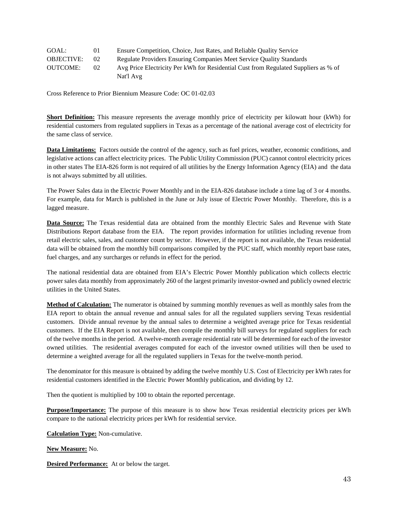| GOAL:             | 01 | Ensure Competition, Choice, Just Rates, and Reliable Quality Service                |
|-------------------|----|-------------------------------------------------------------------------------------|
| <b>OBJECTIVE:</b> | 02 | Regulate Providers Ensuring Companies Meet Service Quality Standards                |
| <b>OUTCOME:</b>   | 02 | Avg Price Electricity Per kWh for Residential Cust from Regulated Suppliers as % of |
|                   |    | Nat'l Avg                                                                           |

**Short Definition:** This measure represents the average monthly price of electricity per kilowatt hour (kWh) for residential customers from regulated suppliers in Texas as a percentage of the national average cost of electricity for the same class of service.

**Data Limitations:** Factors outside the control of the agency, such as fuel prices, weather, economic conditions, and legislative actions can affect electricity prices. The Public Utility Commission (PUC) cannot control electricity prices in other states The EIA-826 form is not required of all utilities by the Energy Information Agency (EIA) and the data is not always submitted by all utilities.

The Power Sales data in the Electric Power Monthly and in the EIA-826 database include a time lag of 3 or 4 months. For example, data for March is published in the June or July issue of Electric Power Monthly. Therefore, this is a lagged measure.

**Data Source:** The Texas residential data are obtained from the monthly Electric Sales and Revenue with State Distributions Report database from the EIA. The report provides information for utilities including revenue from retail electric sales, sales, and customer count by sector. However, if the report is not available, the Texas residential data will be obtained from the monthly bill comparisons compiled by the PUC staff, which monthly report base rates, fuel charges, and any surcharges or refunds in effect for the period.

The national residential data are obtained from EIA's Electric Power Monthly publication which collects electric power sales data monthly from approximately 260 of the largest primarily investor-owned and publicly owned electric utilities in the United States.

**Method of Calculation:** The numerator is obtained by summing monthly revenues as well as monthly sales from the EIA report to obtain the annual revenue and annual sales for all the regulated suppliers serving Texas residential customers. Divide annual revenue by the annual sales to determine a weighted average price for Texas residential customers. If the EIA Report is not available, then compile the monthly bill surveys for regulated suppliers for each of the twelve months in the period. A twelve-month average residential rate will be determined for each of the investor owned utilities. The residential averages computed for each of the investor owned utilities will then be used to determine a weighted average for all the regulated suppliers in Texas for the twelve-month period.

The denominator for this measure is obtained by adding the twelve monthly U.S. Cost of Electricity per kWh rates for residential customers identified in the Electric Power Monthly publication, and dividing by 12.

Then the quotient is multiplied by 100 to obtain the reported percentage.

**Purpose/Importance:** The purpose of this measure is to show how Texas residential electricity prices per kWh compare to the national electricity prices per kWh for residential service.

**Calculation Type:** Non-cumulative.

**New Measure:** No.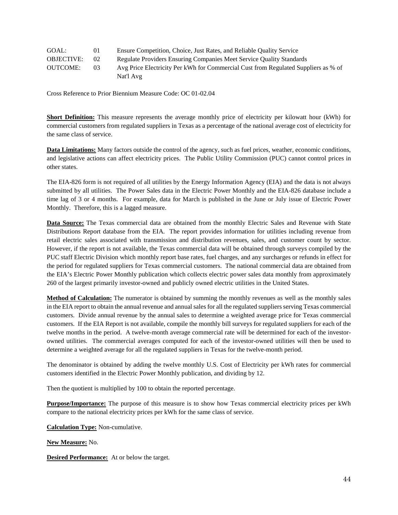| GOAL:             | 01           | Ensure Competition, Choice, Just Rates, and Reliable Quality Service               |
|-------------------|--------------|------------------------------------------------------------------------------------|
| <b>OBJECTIVE:</b> | $02^{\circ}$ | Regulate Providers Ensuring Companies Meet Service Quality Standards               |
| <b>OUTCOME:</b>   | 03           | Avg Price Electricity Per kWh for Commercial Cust from Regulated Suppliers as % of |
|                   |              | Nat'l Avg                                                                          |

**Short Definition:** This measure represents the average monthly price of electricity per kilowatt hour (kWh) for commercial customers from regulated suppliers in Texas as a percentage of the national average cost of electricity for the same class of service.

**Data Limitations:** Many factors outside the control of the agency, such as fuel prices, weather, economic conditions, and legislative actions can affect electricity prices. The Public Utility Commission (PUC) cannot control prices in other states.

The EIA-826 form is not required of all utilities by the Energy Information Agency (EIA) and the data is not always submitted by all utilities. The Power Sales data in the Electric Power Monthly and the EIA-826 database include a time lag of 3 or 4 months. For example, data for March is published in the June or July issue of Electric Power Monthly. Therefore, this is a lagged measure.

**Data Source:** The Texas commercial data are obtained from the monthly Electric Sales and Revenue with State Distributions Report database from the EIA. The report provides information for utilities including revenue from retail electric sales associated with transmission and distribution revenues, sales, and customer count by sector. However, if the report is not available, the Texas commercial data will be obtained through surveys compiled by the PUC staff Electric Division which monthly report base rates, fuel charges, and any surcharges or refunds in effect for the period for regulated suppliers for Texas commercial customers. The national commercial data are obtained from the EIA's Electric Power Monthly publication which collects electric power sales data monthly from approximately 260 of the largest primarily investor-owned and publicly owned electric utilities in the United States.

**Method of Calculation:** The numerator is obtained by summing the monthly revenues as well as the monthly sales in the EIA report to obtain the annual revenue and annual sales for all the regulated suppliers serving Texas commercial customers. Divide annual revenue by the annual sales to determine a weighted average price for Texas commercial customers. If the EIA Report is not available, compile the monthly bill surveys for regulated suppliers for each of the twelve months in the period. A twelve-month average commercial rate will be determined for each of the investorowned utilities. The commercial averages computed for each of the investor-owned utilities will then be used to determine a weighted average for all the regulated suppliers in Texas for the twelve-month period.

The denominator is obtained by adding the twelve monthly U.S. Cost of Electricity per kWh rates for commercial customers identified in the Electric Power Monthly publication, and dividing by 12.

Then the quotient is multiplied by 100 to obtain the reported percentage.

**Purpose/Importance:** The purpose of this measure is to show how Texas commercial electricity prices per kWh compare to the national electricity prices per kWh for the same class of service.

**Calculation Type:** Non-cumulative.

**New Measure:** No.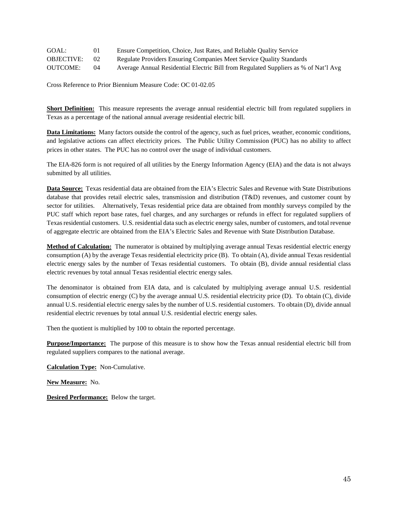| GOAL:             | 01        | Ensure Competition, Choice, Just Rates, and Reliable Quality Service                |
|-------------------|-----------|-------------------------------------------------------------------------------------|
| <b>OBJECTIVE:</b> | 02        | Regulate Providers Ensuring Companies Meet Service Quality Standards                |
| <b>OUTCOME:</b>   | $^{(14)}$ | Average Annual Residential Electric Bill from Regulated Suppliers as % of Nat'l Avg |

**Short Definition:** This measure represents the average annual residential electric bill from regulated suppliers in Texas as a percentage of the national annual average residential electric bill.

**Data Limitations:** Many factors outside the control of the agency, such as fuel prices, weather, economic conditions, and legislative actions can affect electricity prices. The Public Utility Commission (PUC) has no ability to affect prices in other states. The PUC has no control over the usage of individual customers.

The EIA-826 form is not required of all utilities by the Energy Information Agency (EIA) and the data is not always submitted by all utilities.

**Data Source:** Texas residential data are obtained from the EIA's Electric Sales and Revenue with State Distributions database that provides retail electric sales, transmission and distribution (T&D) revenues, and customer count by sector for utilities. Alternatively, Texas residential price data are obtained from monthly surveys compiled by the PUC staff which report base rates, fuel charges, and any surcharges or refunds in effect for regulated suppliers of Texas residential customers. U.S. residential data such as electric energy sales, number of customers, and total revenue of aggregate electric are obtained from the EIA's Electric Sales and Revenue with State Distribution Database.

**Method of Calculation:** The numerator is obtained by multiplying average annual Texas residential electric energy consumption (A) by the average Texas residential electricity price (B). To obtain (A), divide annual Texas residential electric energy sales by the number of Texas residential customers. To obtain (B), divide annual residential class electric revenues by total annual Texas residential electric energy sales.

The denominator is obtained from EIA data, and is calculated by multiplying average annual U.S. residential consumption of electric energy (C) by the average annual U.S. residential electricity price (D). To obtain (C), divide annual U.S. residential electric energy sales by the number of U.S. residential customers. To obtain (D), divide annual residential electric revenues by total annual U.S. residential electric energy sales.

Then the quotient is multiplied by 100 to obtain the reported percentage.

**Purpose/Importance:** The purpose of this measure is to show how the Texas annual residential electric bill from regulated suppliers compares to the national average.

**Calculation Type:** Non-Cumulative.

**New Measure:** No.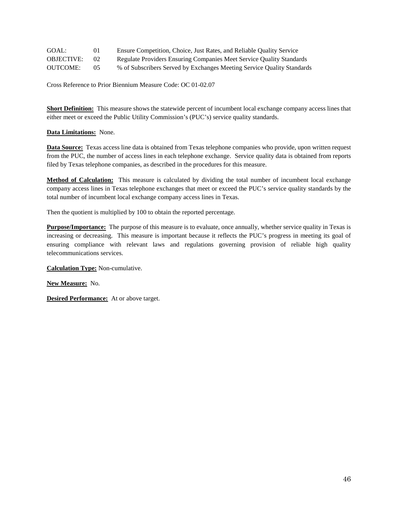| GOAL:             | 01              | Ensure Competition, Choice, Just Rates, and Reliable Quality Service   |
|-------------------|-----------------|------------------------------------------------------------------------|
| <b>OBJECTIVE:</b> | 02 <sub>1</sub> | Regulate Providers Ensuring Companies Meet Service Quality Standards   |
| <b>OUTCOME:</b>   | $0.5^{\circ}$   | % of Subscribers Served by Exchanges Meeting Service Quality Standards |

**Short Definition:** This measure shows the statewide percent of incumbent local exchange company access lines that either meet or exceed the Public Utility Commission's (PUC's) service quality standards.

# **Data Limitations:** None.

**Data Source:** Texas access line data is obtained from Texas telephone companies who provide, upon written request from the PUC, the number of access lines in each telephone exchange. Service quality data is obtained from reports filed by Texas telephone companies, as described in the procedures for this measure.

**Method of Calculation:** This measure is calculated by dividing the total number of incumbent local exchange company access lines in Texas telephone exchanges that meet or exceed the PUC's service quality standards by the total number of incumbent local exchange company access lines in Texas.

Then the quotient is multiplied by 100 to obtain the reported percentage.

**Purpose/Importance:** The purpose of this measure is to evaluate, once annually, whether service quality in Texas is increasing or decreasing. This measure is important because it reflects the PUC's progress in meeting its goal of ensuring compliance with relevant laws and regulations governing provision of reliable high quality telecommunications services.

**Calculation Type:** Non-cumulative.

**New Measure:** No.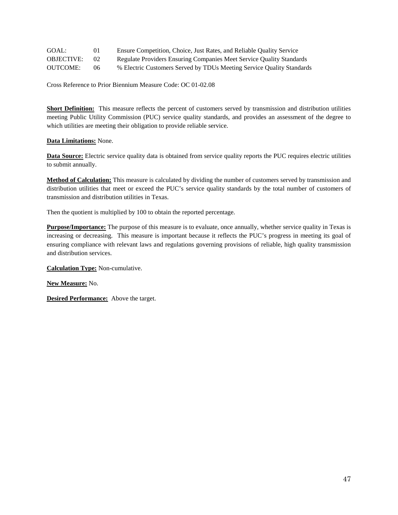| GOAL:             | 01              | Ensure Competition, Choice, Just Rates, and Reliable Quality Service  |
|-------------------|-----------------|-----------------------------------------------------------------------|
| <b>OBJECTIVE:</b> | 02 <sup>2</sup> | Regulate Providers Ensuring Companies Meet Service Quality Standards  |
| OUTCOME:          | 06              | % Electric Customers Served by TDUs Meeting Service Quality Standards |

**Short Definition:** This measure reflects the percent of customers served by transmission and distribution utilities meeting Public Utility Commission (PUC) service quality standards, and provides an assessment of the degree to which utilities are meeting their obligation to provide reliable service.

### **Data Limitations:** None.

**Data Source:** Electric service quality data is obtained from service quality reports the PUC requires electric utilities to submit annually.

**Method of Calculation:** This measure is calculated by dividing the number of customers served by transmission and distribution utilities that meet or exceed the PUC's service quality standards by the total number of customers of transmission and distribution utilities in Texas.

Then the quotient is multiplied by 100 to obtain the reported percentage.

**Purpose/Importance:** The purpose of this measure is to evaluate, once annually, whether service quality in Texas is increasing or decreasing. This measure is important because it reflects the PUC's progress in meeting its goal of ensuring compliance with relevant laws and regulations governing provisions of reliable, high quality transmission and distribution services.

**Calculation Type:** Non-cumulative.

**New Measure:** No.

**Desired Performance:** Above the target.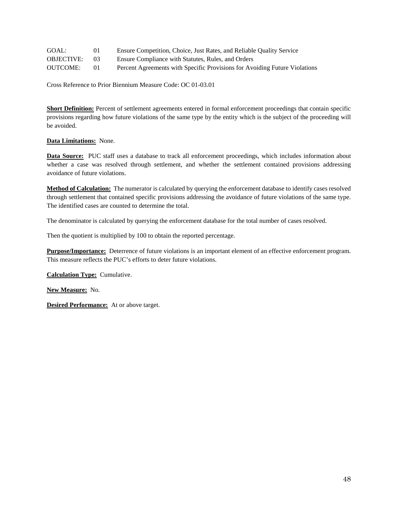| GOAL:             | 01      | Ensure Competition, Choice, Just Rates, and Reliable Quality Service       |
|-------------------|---------|----------------------------------------------------------------------------|
| <b>OBJECTIVE:</b> | $^{13}$ | Ensure Compliance with Statutes, Rules, and Orders                         |
| <b>OUTCOME:</b>   | 01      | Percent Agreements with Specific Provisions for Avoiding Future Violations |

**Short Definition:** Percent of settlement agreements entered in formal enforcement proceedings that contain specific provisions regarding how future violations of the same type by the entity which is the subject of the proceeding will be avoided.

# **Data Limitations:** None.

**Data Source:** PUC staff uses a database to track all enforcement proceedings, which includes information about whether a case was resolved through settlement, and whether the settlement contained provisions addressing avoidance of future violations.

**Method of Calculation:** The numerator is calculated by querying the enforcement database to identify cases resolved through settlement that contained specific provisions addressing the avoidance of future violations of the same type. The identified cases are counted to determine the total.

The denominator is calculated by querying the enforcement database for the total number of cases resolved.

Then the quotient is multiplied by 100 to obtain the reported percentage.

**Purpose/Importance:** Deterrence of future violations is an important element of an effective enforcement program. This measure reflects the PUC's efforts to deter future violations.

**Calculation Type:** Cumulative.

**New Measure:** No.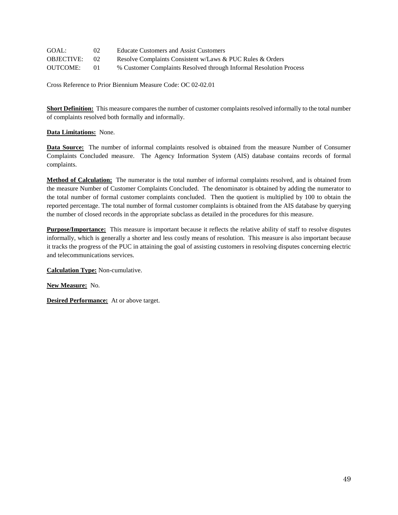| GOAL:             | 02 <sub>1</sub> | Educate Customers and Assist Customers                             |
|-------------------|-----------------|--------------------------------------------------------------------|
| <b>OBJECTIVE:</b> | 02              | Resolve Complaints Consistent w/Laws & PUC Rules & Orders          |
| <b>OUTCOME:</b>   | $^{01}$         | % Customer Complaints Resolved through Informal Resolution Process |

**Short Definition:** This measure compares the number of customer complaints resolved informally to the total number of complaints resolved both formally and informally.

## **Data Limitations:** None.

**Data Source:** The number of informal complaints resolved is obtained from the measure Number of Consumer Complaints Concluded measure. The Agency Information System (AIS) database contains records of formal complaints.

**Method of Calculation:** The numerator is the total number of informal complaints resolved, and is obtained from the measure Number of Customer Complaints Concluded. The denominator is obtained by adding the numerator to the total number of formal customer complaints concluded. Then the quotient is multiplied by 100 to obtain the reported percentage. The total number of formal customer complaints is obtained from the AIS database by querying the number of closed records in the appropriate subclass as detailed in the procedures for this measure.

**Purpose/Importance:** This measure is important because it reflects the relative ability of staff to resolve disputes informally, which is generally a shorter and less costly means of resolution. This measure is also important because it tracks the progress of the PUC in attaining the goal of assisting customers in resolving disputes concerning electric and telecommunications services.

**Calculation Type:** Non-cumulative.

**New Measure:** No.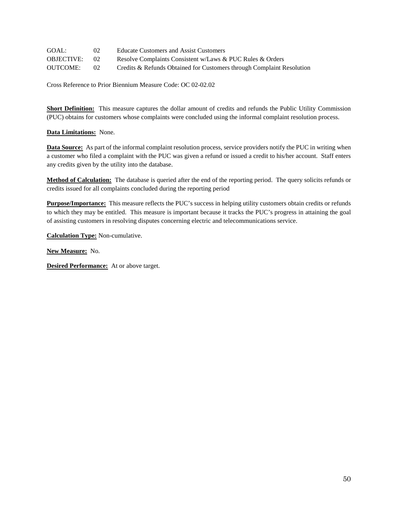| GOAL:             | $02^{\circ}$    | Educate Customers and Assist Customers                                |
|-------------------|-----------------|-----------------------------------------------------------------------|
| <b>OBJECTIVE:</b> | 02 <sub>1</sub> | Resolve Complaints Consistent w/Laws & PUC Rules & Orders             |
| <b>OUTCOME:</b>   | 02 <sup>2</sup> | Credits & Refunds Obtained for Customers through Complaint Resolution |

**Short Definition:** This measure captures the dollar amount of credits and refunds the Public Utility Commission (PUC) obtains for customers whose complaints were concluded using the informal complaint resolution process.

## **Data Limitations:** None.

**Data Source:** As part of the informal complaint resolution process, service providers notify the PUC in writing when a customer who filed a complaint with the PUC was given a refund or issued a credit to his/her account. Staff enters any credits given by the utility into the database.

**Method of Calculation:** The database is queried after the end of the reporting period. The query solicits refunds or credits issued for all complaints concluded during the reporting period

**Purpose/Importance:** This measure reflects the PUC's success in helping utility customers obtain credits or refunds to which they may be entitled. This measure is important because it tracks the PUC's progress in attaining the goal of assisting customers in resolving disputes concerning electric and telecommunications service.

**Calculation Type:** Non-cumulative.

**New Measure:** No.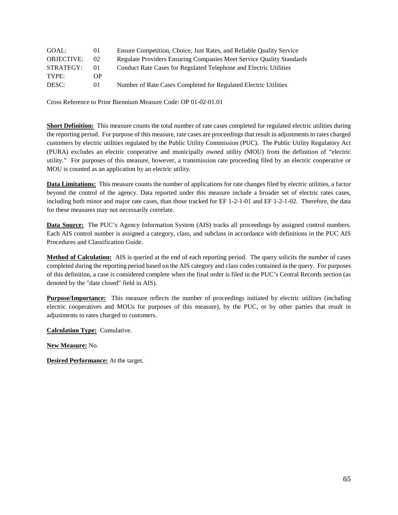| GOAL:             | 01 | Ensure Competition, Choice, Just Rates, and Reliable Quality Service                |
|-------------------|----|-------------------------------------------------------------------------------------|
| <b>OBJECTIVE:</b> | 02 | <b>Regulate Providers Ensuring Companies Meet Service Quality Standards</b>         |
| <b>OUTCOME:</b>   | 04 | Average Annual Residential Electric Bill from Regulated Suppliers as % of Nat'l Avg |

**Short Definition:** This measure represents the average annual residential electric bill from regulated suppliers in Texas as a percentage of the national annual average residential electric bill.

**Data Limitations:** Many factors outside the control of the agency, such as fuel prices, weather, economic conditions, and legislative actions can affect electricity prices. The Public Utility Commission (PUC) has no ability to affect prices in other states. The PUC has no control over the usage of individual customers.

The EIA-826 form is not required of all utilities by the Energy Information Agency (EIA) and the data is not always submitted by all utilities.

Data Source: Texas residential data are obtained from the EIA's Electric Sales and Revenue with State Distributions database that provides retail electric sales, transmission and distribution (T&D) revenues, and customer count by sector for utilities. Alternatively, Texas residential price data are obtained from monthly surveys compiled by the PUC staff which report base rates, fuel charges, and any surcharges or refunds in effect for regulated suppliers of Texas residential customers. U.S. residential data such as electric energy sales, number of customers, and total revenue of aggregate electric are obtained from the EIA's Electric Sales and Revenue with State Distribution Database.

**Method of Calculation:** The numerator is obtained by multiplying average annual Texas residential electric energy consumption (A) by the average Texas residential electricity price (B). To obtain (A), divide annual Texas residential electric energy sales by the number of Texas residential customers. To obtain (B), divide annual residential class electric revenues by total annual Texas residential electric energy sales.

The denominator is obtained from EIA data, and is calculated by multiplying average annual U.S. residential consumption of electric energy (C) by the average annual U.S. residential electricity price (D). To obtain (C), divide annual U.S. residential electric energy sales by the number of U.S. residential customers. To obtain (D), divide annual residential electric revenues by total annual U.S. residential electric energy sales.

Then the quotient is multiplied by 100 to obtain the reported percentage.

**Purpose/Importance:** The purpose of this measure is to show how the Texas annual residential electric bill from regulated suppliers compares to the national average.

**Calculation Type:** Non-Cumulative.

New Measure: No.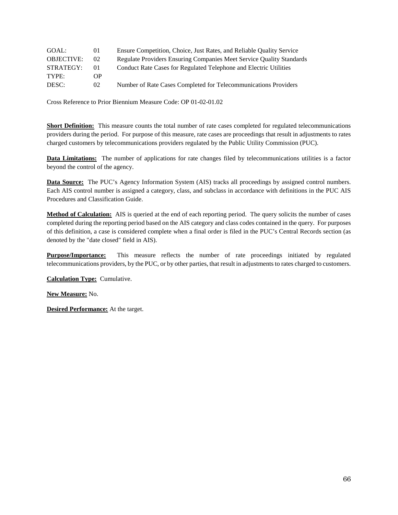| GOAL:             | $\Omega$     | Ensure Competition, Choice, Just Rates, and Reliable Quality Service               |
|-------------------|--------------|------------------------------------------------------------------------------------|
| <b>OBJECTIVE:</b> | $02^{\circ}$ | Regulate Providers Ensuring Companies Meet Service Quality Standards               |
| <b>OUTCOME:</b>   | 03           | Avg Price Electricity Per kWh for Commercial Cust from Regulated Suppliers as % of |
|                   |              | Nat'l Avg                                                                          |

Short Definition: This measure represents the average monthly price of electricity per kilowatt hour (kWh) for commercial customers from regulated suppliers in Texas as a percentage of the national average cost of electricity for the same class of service.

Data Limitations: Many factors outside the control of the agency, such as fuel prices, weather, economic conditions, and legislative actions can affect electricity prices. The Public Utility Commission (PUC) cannot control prices in other states.

The EIA-826 form is not required of all utilities by the Energy Information Agency (EIA) and the data is not always submitted by all utilities. The Power Sales data in the Electric Power Monthly and the EIA-826 database include a time lag of 3 or 4 months. For example, data for March is published in the June or July issue of Electric Power Monthly. Therefore, this is a lagged measure.

Data Source: The Texas commercial data are obtained from the monthly Electric Sales and Revenue with State Distributions Report database from the EIA. The report provides information for utilities including revenue from retail electric sales associated with transmission and distribution revenues, sales, and customer count by sector. However, if the report is not available, the Texas commercial data will be obtained through surveys compiled by the PUC staff Electric Division which monthly report base rates, fuel charges, and any surcharges or refunds in effect for the period for regulated suppliers for Texas commercial customers. The national commercial data are obtained from the EIA's Electric Power Monthly publication which collects electric power sales data monthly from approximately 260 of the largest primarily investor-owned and publicly owned electric utilities in the United States.

**Method of Calculation:** The numerator is obtained by summing the monthly revenues as well as the monthly sales in the EIA report to obtain the annual revenue and annual sales for all the regulated suppliers serving Texas commercial customers. Divide annual revenue by the annual sales to determine a weighted average price for Texas commercial customers. If the EIA Report is not available, compile the monthly bill surveys for regulated suppliers for each of the twelve months in the period. A twelve-month average commercial rate will be determined for each of the investorowned utilities. The commercial averages computed for each of the investor-owned utilities will then be used to determine a weighted average for all the regulated suppliers in Texas for the twelve-month period.

The denominator is obtained by adding the twelve monthly U.S. Cost of Electricity per kWh rates for commercial customers identified in the Electric Power Monthly publication, and dividing by 12.

Then the quotient is multiplied by 100 to obtain the reported percentage.

**Purpose/Importance:** The purpose of this measure is to show how Texas commercial electricity prices per kWh compare to the national electricity prices per kWh for the same class of service.

**Calculation Type: Non-cumulative.** 

New Measure: No.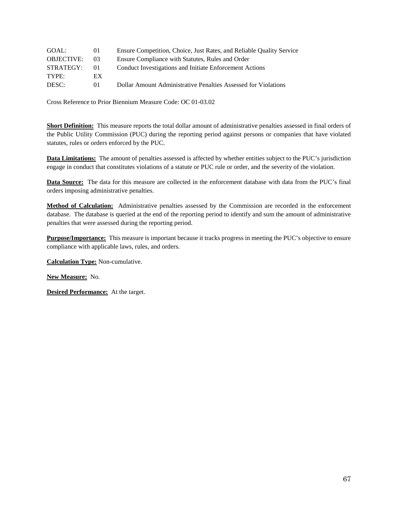| GOAL:             | $_{01}$      | Ensure Competition, Choice, Just Rates, and Reliable Quality Service                |
|-------------------|--------------|-------------------------------------------------------------------------------------|
| <b>OBJECTIVE:</b> | $02^{\circ}$ | Regulate Providers Ensuring Companies Meet Service Quality Standards                |
| <b>OUTCOME:</b>   | 02           | Avg Price Electricity Per kWh for Residential Cust from Regulated Suppliers as % of |
|                   |              | Nat'l Avg                                                                           |

Short Definition: This measure represents the average monthly price of electricity per kilowatt hour (kWh) for residential customers from regulated suppliers in Texas as a percentage of the national average cost of electricity for the same class of service.

Data Limitations: Factors outside the control of the agency, such as fuel prices, weather, economic conditions, and legislative actions can affect electricity prices. The Public Utility Commission (PUC) cannot control electricity prices in other states The EIA-826 form is not required of all utilities by the Energy Information Agency (EIA) and the data is not always submitted by all utilities.

The Power Sales data in the Electric Power Monthly and in the EIA-826 database include a time lag of 3 or 4 months. For example, data for March is published in the June or July issue of Electric Power Monthly. Therefore, this is a lagged measure.

Data Source: The Texas residential data are obtained from the monthly Electric Sales and Revenue with State Distributions Report database from the EIA. The report provides information for utilities including revenue from retail electric sales, sales, and customer count by sector. However, if the report is not available, the Texas residential data will be obtained from the monthly bill comparisons compiled by the PUC staff, which monthly report base rates, fuel charges, and any surcharges or refunds in effect for the period.

The national residential data are obtained from EIA's Electric Power Monthly publication which collects electric power sales data monthly from approximately 260 of the largest primarily investor-owned and publicly owned electric utilities in the United States.

Method of Calculation: The numerator is obtained by summing monthly revenues as well as monthly sales from the EIA report to obtain the annual revenue and annual sales for all the regulated suppliers serving Texas residential customers. Divide annual revenue by the annual sales to determine a weighted average price for Texas residential customers. If the EIA Report is not available, then compile the monthly bill surveys for regulated suppliers for each of the twelve months in the period. A twelve-month average residential rate will be determined for each of the investor owned utilities. The residential averages computed for each of the investor owned utilities will then be used to determine a weighted average for all the regulated suppliers in Texas for the twelve-month period.

The denominator for this measure is obtained by adding the twelve monthly U.S. Cost of Electricity per kWh rates for residential customers identified in the Electric Power Monthly publication, and dividing by 12.

Then the quotient is multiplied by 100 to obtain the reported percentage.

**Purpose/Importance:** The purpose of this measure is to show how Texas residential electricity prices per kWh compare to the national electricity prices per kWh for residential service.

**Calculation Type: Non-cumulative.** 

**New Measure:** No.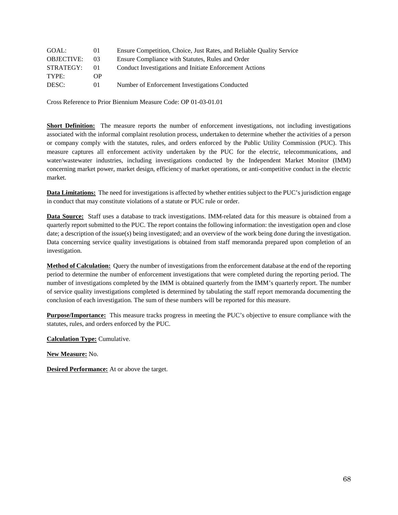| GOAL:             | $_{01}$         | Ensure Competition, Choice, Just Rates, and Reliable Quality Service |
|-------------------|-----------------|----------------------------------------------------------------------|
| <b>OBJECTIVE:</b> | 02 <sub>1</sub> | Regulate Providers Ensuring Companies Meet Service Quality Standards |
| <b>OUTCOME:</b>   |                 | Average Annual Residential Telephone Bill as a % of National Average |

Short Definition: This measure reports the average annual residential telephone bill in Texas as a percentage of the national average residential telephone bill. The term "bill" is defined as the weighted average monthly rate for singleline residential telephone service.

Data Limitations: The Public Utility Commission (PUC) has limited jurisdiction over telephone rates in Texas, and no ability to affect telephone rates in other states. The Federal Communications Commission (FCC) gathers data annually and generally publishes the data in spring or summer of each year. So, while this measure consistently uses the most recent national data made available by the FCC, the national data is not from the same period as the state data.

**Data Source:** Texas access line data is obtained from Texas telephone companies that provide, upon written request from Commission staff, the number of access lines billed at each tariffed residential rate. Texas residential rates are obtained from telephone company tariffs on file at the Commission or by written request to telephone companies from PUC staff. National data is obtained annually from a report published by the Federal Communications Commission (FCC), as noted in the procedures for this measure.

**Method of Calculation:** This performance measure is calculated by dividing the weighted average of single-line residential telephone rates of the ten largest local exchange companies in Texas by the national single-line residential telephone rate. Then the quotient is multiplied by 100 to obtain the reported percentage. The ten largest local exchange companies in Texas are the ten incumbent local exchange companies that serve the most access lines in Texas.

**Purpose/Importance:** The purpose of this measure is to show how Texas residential telephone bills compare to the national average telephone bill.

Calculation Type: Non-cumulative.

New Measure: No.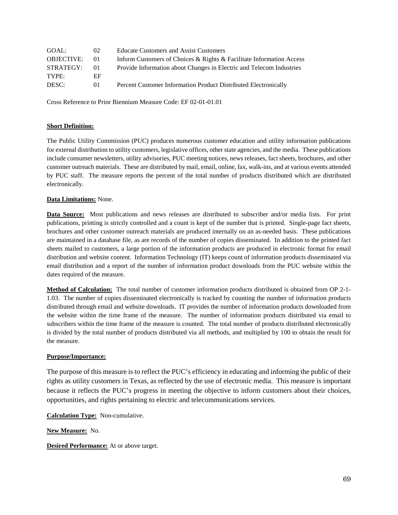| GOAL:             | 01          | Ensure Competition, Choice, Just Rates, and Reliable Quality Service   |
|-------------------|-------------|------------------------------------------------------------------------|
| <b>OBJECTIVE:</b> | $^{\prime}$ | Maintain Policies to Foster Competition in Telecom & Elec Mkts         |
| <b>OUTCOME:</b>   | 06          | Avg Ann Resid Elec Bill from Competitive Suppliers as a % of Nat'l Avg |

**Short Definition:** This measure represents the average annual residential electric bill from competitive suppliers in Texas as a percentage of the national annual average residential electric bill.

**Data Limitations:** The Public Utility Commission (PUC) does not regulate prices charged by competitive providers. Many factors outside the control of the agency, such as fuel prices, weather, economic conditions, and legislative actions can affect electricity prices. The PUC has no control over the usage of individual customers. The EIA-826 form is not required of all Retail Electric Providers (REPs) by the Energy Information Agency (EIA) and the data is not always submitted by all REPs.

Data Source: Texas residential data are obtained from the EIA's Electric Sales and Revenue with State Distributions Report database that provides retail electric sales, transmission and distribution (T&D) revenues, and customer count by sector for Retail Electric Providers (REPs). U.S. residential data for the average monthly bill are obtained from a yearly publication by the EIA.

**Method of Calculation:** The numerator is obtained by multiplying average annual Texas residential electric energy consumption (A) by the average Texas residential electricity price  $(B)$ . To obtain  $(A)$ , divide annual Texas residential electric energy sales by the number of Texas residential customers. To obtain (B), divide annual residential class electric revenues by total annual Texas residential electric energy sales.

The denominator is obtained from EIA data, calculated by multiplying average monthly usage per customer by average price per kwh.

Then the quotient is multiplied by 100 to obtain the reported percentage.

**Purpose/Importance:** The purpose of this measure is to show how the Texas annual residential electric bill from competitive suppliers compares to the national average.

**Calculation Type: Non-Cumulative.** 

New Measure: No.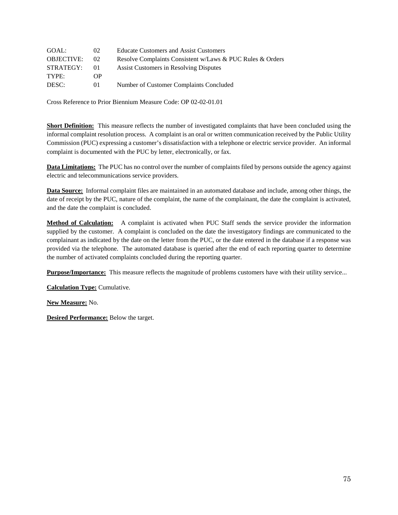| GOAL:             | 02 <sub>1</sub> | <b>Educate Customers and Assist Customers</b>             |
|-------------------|-----------------|-----------------------------------------------------------|
| <b>OBJECTIVE:</b> | 02              | Resolve Complaints Consistent w/Laws & PUC Rules & Orders |
| STRATEGY:         | $\Omega$        | Assist Customers in Resolving Disputes                    |
| TYPE:             | OΡ              |                                                           |
| DESC:             | 01              | Number of Customer Complaints Concluded                   |

Cross Reference to Prior Biennium Measure Code: OP 02-02-01.01

**Short Definition:** This measure reflects the number of investigated complaints that have been concluded using the informal complaint resolution process. A complaint is an oral or written communication received by the Public Utility Commission (PUC) expressing a customer's dissatisfaction with a telephone or electric service provider. An informal complaint is documented with the PUC by letter, electronically, or fax.

**Data Limitations:** The PUC has no control over the number of complaints filed by persons outside the agency against electric and telecommunications service providers.

**Data Source:** Informal complaint files are maintained in an automated database and include, among other things, the date of receipt by the PUC, nature of the complaint, the name of the complainant, the date the complaint is activated, and the date the complaint is concluded.

**Method of Calculation:** A complaint is activated when PUC Staff sends the service provider the information supplied by the customer. A complaint is concluded on the date the investigatory findings are communicated to the complainant as indicated by the date on the letter from the PUC, or the date entered in the database if a response was provided via the telephone. The automated database is queried after the end of each reporting quarter to determine the number of activated complaints concluded during the reporting quarter.

**Purpose/Importance:** This measure reflects the magnitude of problems customers have with their utility service...

**Calculation Type:** Cumulative.

**New Measure:** No.

**Desired Performance:** Below the target.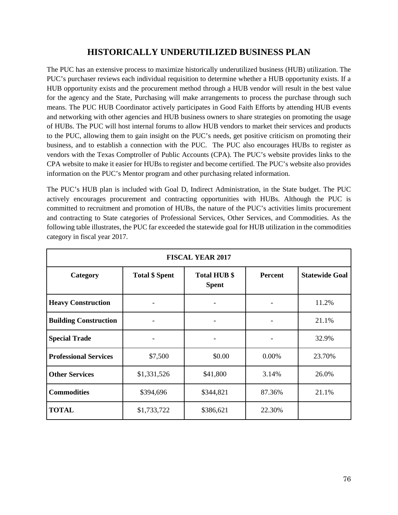## **HISTORICALLY UNDERUTILIZED BUSINESS PLAN**

The PUC has an extensive process to maximize historically underutilized business (HUB) utilization. The PUC's purchaser reviews each individual requisition to determine whether a HUB opportunity exists. If a HUB opportunity exists and the procurement method through a HUB vendor will result in the best value for the agency and the State, Purchasing will make arrangements to process the purchase through such means. The PUC HUB Coordinator actively participates in Good Faith Efforts by attending HUB events and networking with other agencies and HUB business owners to share strategies on promoting the usage of HUBs. The PUC will host internal forums to allow HUB vendors to market their services and products to the PUC, allowing them to gain insight on the PUC's needs, get positive criticism on promoting their business, and to establish a connection with the PUC. The PUC also encourages HUBs to register as vendors with the Texas Comptroller of Public Accounts (CPA). The PUC's website provides links to the CPA website to make it easier for HUBs to register and become certified. The PUC's website also provides information on the PUC's Mentor program and other purchasing related information.

The PUC's HUB plan is included with Goal D, Indirect Administration, in the State budget. The PUC actively encourages procurement and contracting opportunities with HUBs. Although the PUC is committed to recruitment and promotion of HUBs, the nature of the PUC's activities limits procurement and contracting to State categories of Professional Services, Other Services, and Commodities. As the following table illustrates, the PUC far exceeded the statewide goal for HUB utilization in the commodities category in fiscal year 2017.

| <b>FISCAL YEAR 2017</b>      |                       |                                     |                |                       |  |
|------------------------------|-----------------------|-------------------------------------|----------------|-----------------------|--|
| Category                     | <b>Total \$ Spent</b> | <b>Total HUB \$</b><br><b>Spent</b> | <b>Percent</b> | <b>Statewide Goal</b> |  |
| <b>Heavy Construction</b>    |                       |                                     |                | 11.2%                 |  |
| <b>Building Construction</b> |                       |                                     |                | 21.1%                 |  |
| <b>Special Trade</b>         | -                     | $\overline{\phantom{a}}$            |                | 32.9%                 |  |
| <b>Professional Services</b> | \$7,500               | \$0.00                              | 0.00%          | 23.70%                |  |
| <b>Other Services</b>        | \$1,331,526           | \$41,800                            | 3.14%          | 26.0%                 |  |
| <b>Commodities</b>           | \$394,696             | \$344,821                           | 87.36%         | 21.1%                 |  |
| <b>TOTAL</b>                 | \$1,733,722           | \$386,621                           | 22.30%         |                       |  |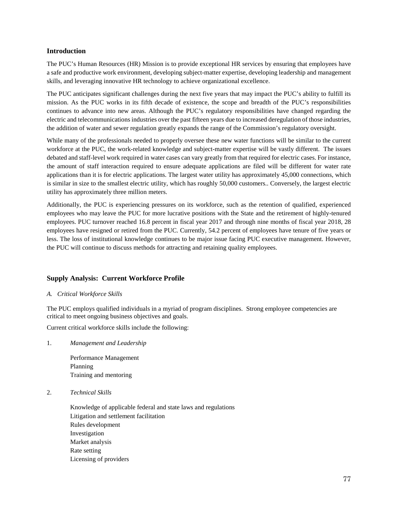#### **Introduction**

The PUC's Human Resources (HR) Mission is to provide exceptional HR services by ensuring that employees have a safe and productive work environment, developing subject-matter expertise, developing leadership and management skills, and leveraging innovative HR technology to achieve organizational excellence.

The PUC anticipates significant challenges during the next five years that may impact the PUC's ability to fulfill its mission. As the PUC works in its fifth decade of existence, the scope and breadth of the PUC's responsibilities continues to advance into new areas. Although the PUC's regulatory responsibilities have changed regarding the electric and telecommunications industries over the past fifteen years due to increased deregulation of those industries, the addition of water and sewer regulation greatly expands the range of the Commission's regulatory oversight.

While many of the professionals needed to properly oversee these new water functions will be similar to the current workforce at the PUC, the work-related knowledge and subject-matter expertise will be vastly different. The issues debated and staff-level work required in water cases can vary greatly from that required for electric cases. For instance, the amount of staff interaction required to ensure adequate applications are filed will be different for water rate applications than it is for electric applications. The largest water utility has approximately 45,000 connections, which is similar in size to the smallest electric utility, which has roughly 50,000 customers.. Conversely, the largest electric utility has approximately three million meters.

Additionally, the PUC is experiencing pressures on its workforce, such as the retention of qualified, experienced employees who may leave the PUC for more lucrative positions with the State and the retirement of highly-tenured employees. PUC turnover reached 16.8 percent in fiscal year 2017 and through nine months of fiscal year 2018, 28 employees have resigned or retired from the PUC. Currently, 54.2 percent of employees have tenure of five years or less. The loss of institutional knowledge continues to be major issue facing PUC executive management. However, the PUC will continue to discuss methods for attracting and retaining quality employees.

## **Supply Analysis: Current Workforce Profile**

*A. Critical Workforce Skills* 

The PUC employs qualified individuals in a myriad of program disciplines. Strong employee competencies are critical to meet ongoing business objectives and goals.

Current critical workforce skills include the following:

1. *Management and Leadership* 

Performance Management Planning Training and mentoring

2. *Technical Skills* 

Knowledge of applicable federal and state laws and regulations Litigation and settlement facilitation Rules development Investigation Market analysis Rate setting Licensing of providers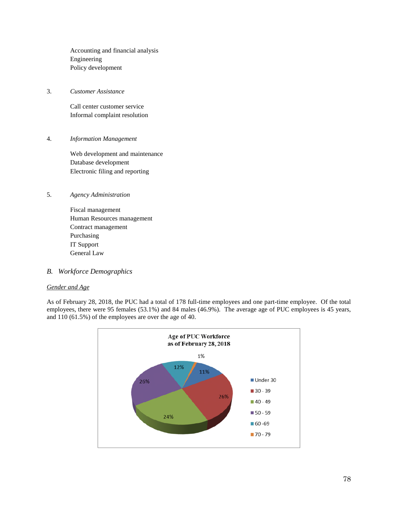Accounting and financial analysis Engineering Policy development

3. *Customer Assistance* 

Call center customer service Informal complaint resolution

4. *Information Management* 

Web development and maintenance Database development Electronic filing and reporting

- 5. *Agency Administration* 
	- Fiscal management Human Resources management Contract management Purchasing IT Support General Law
- *B. Workforce Demographics*

## *Gender and Age*

As of February 28, 2018, the PUC had a total of 178 full-time employees and one part-time employee. Of the total employees, there were 95 females (53.1%) and 84 males (46.9%). The average age of PUC employees is 45 years, and 110 (61.5%) of the employees are over the age of 40.

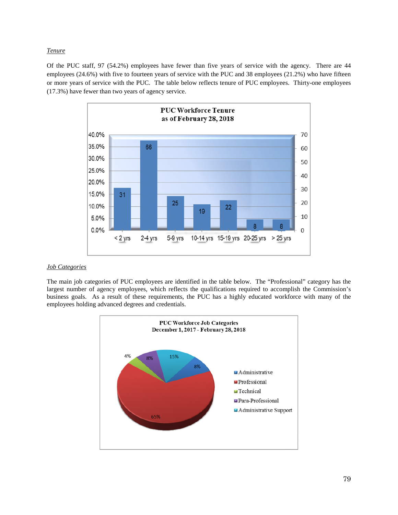#### *Tenure*

Of the PUC staff, 97 (54.2%) employees have fewer than five years of service with the agency. There are 44 employees (24.6%) with five to fourteen years of service with the PUC and 38 employees (21.2%) who have fifteen or more years of service with the PUC. The table below reflects tenure of PUC employees. Thirty-one employees (17.3%) have fewer than two years of agency service.



#### *Job Categories*

The main job categories of PUC employees are identified in the table below. The "Professional" category has the largest number of agency employees, which reflects the qualifications required to accomplish the Commission's business goals. As a result of these requirements, the PUC has a highly educated workforce with many of the employees holding advanced degrees and credentials.

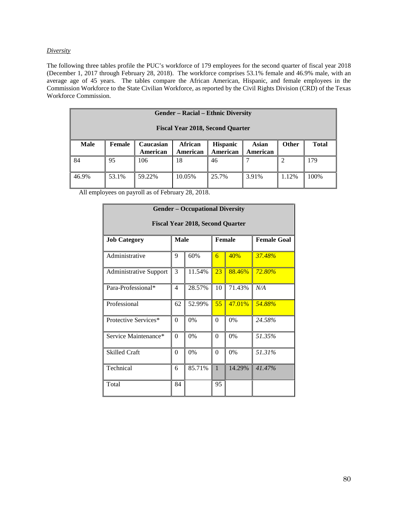#### *Diversity*

The following three tables profile the PUC's workforce of 179 employees for the second quarter of fiscal year 2018 (December 1, 2017 through February 28, 2018). The workforce comprises 53.1% female and 46.9% male, with an average age of 45 years. The tables compare the African American, Hispanic, and female employees in the Commission Workforce to the State Civilian Workforce, as reported by the Civil Rights Division (CRD) of the Texas Workforce Commission.

| <b>Gender – Racial – Ethnic Diversity</b><br><b>Fiscal Year 2018, Second Quarter</b> |        |                       |                            |                             |                   |              |              |
|--------------------------------------------------------------------------------------|--------|-----------------------|----------------------------|-----------------------------|-------------------|--------------|--------------|
| <b>Male</b>                                                                          | Female | Caucasian<br>American | <b>African</b><br>American | <b>Hispanic</b><br>American | Asian<br>American | <b>Other</b> | <b>Total</b> |
| 84                                                                                   | 95     | 106                   | 18                         | 46                          |                   |              | 179          |
| 46.9%                                                                                | 53.1%  | 59.22%                | 10.05%                     | 25.7%                       | 3.91%             | 1.12%        | 100%         |

All employees on payroll as of February 28, 2018.

| <b>Gender - Occupational Diversity</b> |                                         |        |                  |        |                    |  |  |
|----------------------------------------|-----------------------------------------|--------|------------------|--------|--------------------|--|--|
|                                        | <b>Fiscal Year 2018, Second Quarter</b> |        |                  |        |                    |  |  |
| <b>Job Category</b>                    | <b>Male</b>                             |        | <b>Female</b>    |        | <b>Female Goal</b> |  |  |
| Administrative                         | 9                                       | 60%    | 6                | 40%    | 37.48%             |  |  |
| <b>Administrative Support</b>          | 3                                       | 11.54% | 23               | 88.46% | $72.80\%$          |  |  |
| Para-Professional*                     | $\overline{4}$                          | 28.57% | 10               | 71.43% | N/A                |  |  |
| Professional                           | 62                                      | 52.99% | 55               | 47.01% | 54.88%             |  |  |
| Protective Services*                   | $\Omega$                                | 0%     | $\boldsymbol{0}$ | 0%     | 24.58%             |  |  |
| Service Maintenance*                   | $\Omega$                                | 0%     | $\theta$         | 0%     | 51.35%             |  |  |
| <b>Skilled Craft</b>                   | $\theta$                                | 0%     | $\Omega$         | 0%     | 51.31%             |  |  |
| Technical                              | 6                                       | 85.71% | $\mathbf{1}$     | 14.29% | 41.47%             |  |  |
| Total                                  | 84                                      |        | 95               |        |                    |  |  |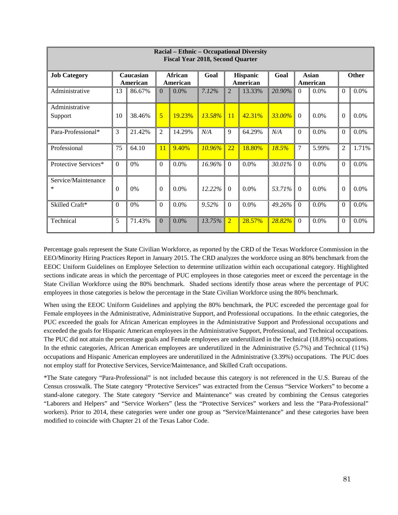| Racial – Ethnic – Occupational Diversity<br><b>Fiscal Year 2018, Second Quarter</b> |          |                       |                |                            |        |                |                      |        |                |                   |                  |         |
|-------------------------------------------------------------------------------------|----------|-----------------------|----------------|----------------------------|--------|----------------|----------------------|--------|----------------|-------------------|------------------|---------|
| <b>Job Category</b>                                                                 |          | Caucasian<br>American |                | <b>African</b><br>American | Goal   |                | Hispanic<br>American | Goal   |                | Asian<br>American |                  | Other   |
| Administrative                                                                      | 13       | 86.67%                | $\Omega$       | 0.0%                       | 7.12%  | $\overline{2}$ | 13.33%               | 20.90% | $\Omega$       | 0.0%              | $\boldsymbol{0}$ | $0.0\%$ |
| Administrative<br>Support                                                           | 10       | 38.46%                | 5              | 19.23%                     | 13.58% | 11             | 42.31%               | 33.00% | $\Omega$       | 0.0%              | $\theta$         | $0.0\%$ |
| Para-Professional*                                                                  | 3        | 21.42%                | $\overline{2}$ | 14.29%                     | N/A    | 9              | 64.29%               | N/A    | $\Omega$       | 0.0%              | $\theta$         | 0.0%    |
| Professional                                                                        | 75       | 64.10                 | 11             | 9.40%                      | 10.96% | 22             | 18.80%               | 18.5%  | $\overline{7}$ | 5.99%             | $\overline{2}$   | 1.71%   |
| Protective Services*                                                                | $\Omega$ | 0%                    | $\Omega$       | 0.0%                       | 16.96% | $\Omega$       | 0.0%                 | 30.01% | $\Omega$       | 0.0%              | $\Omega$         | 0.0%    |
| Service/Maintenance<br>*                                                            | $\theta$ | 0%                    | $\Omega$       | $0.0\%$                    | 12.22% | $\Omega$       | 0.0%                 | 53.71% | $\Omega$       | 0.0%              | $\Omega$         | 0.0%    |
| Skilled Craft*                                                                      | $\theta$ | 0%                    | $\Omega$       | 0.0%                       | 9.52%  | $\Omega$       | 0.0%                 | 49.26% | $\Omega$       | 0.0%              | $\Omega$         | 0.0%    |
| Technical                                                                           | 5        | 71.43%                | $\mathbf{0}$   | 0.0%                       | 13.75% | $\overline{2}$ | 28.57%               | 28.82% | $\Omega$       | 0.0%              | $\mathbf{0}$     | 0.0%    |

Percentage goals represent the State Civilian Workforce, as reported by the CRD of the Texas Workforce Commission in the EEO/Minority Hiring Practices Report in January 2015. The CRD analyzes the workforce using an 80% benchmark from the EEOC Uniform Guidelines on Employee Selection to determine utilization within each occupational category. Highlighted sections indicate areas in which the percentage of PUC employees in those categories meet or exceed the percentage in the State Civilian Workforce using the 80% benchmark. Shaded sections identify those areas where the percentage of PUC employees in those categories is below the percentage in the State Civilian Workforce using the 80% benchmark.

When using the EEOC Uniform Guidelines and applying the 80% benchmark, the PUC exceeded the percentage goal for Female employees in the Administrative, Administrative Support, and Professional occupations. In the ethnic categories, the PUC exceeded the goals for African American employees in the Administrative Support and Professional occupations and exceeded the goals for Hispanic American employees in the Administrative Support, Professional, and Technical occupations. The PUC did not attain the percentage goals and Female employees are underutilized in the Technical (18.89%) occupations. In the ethnic categories, African American employees are underutilized in the Administrative (5.7%) and Technical (11%) occupations and Hispanic American employees are underutilized in the Administrative (3.39%) occupations. The PUC does not employ staff for Protective Services, Service/Maintenance, and Skilled Craft occupations.

\*The State category "Para-Professional" is not included because this category is not referenced in the U.S. Bureau of the Census crosswalk. The State category "Protective Services" was extracted from the Census "Service Workers" to become a stand-alone category. The State category "Service and Maintenance" was created by combining the Census categories "Laborers and Helpers" and "Service Workers" (less the "Protective Services" workers and less the "Para-Professional" workers). Prior to 2014, these categories were under one group as "Service/Maintenance" and these categories have been modified to coincide with Chapter 21 of the Texas Labor Code.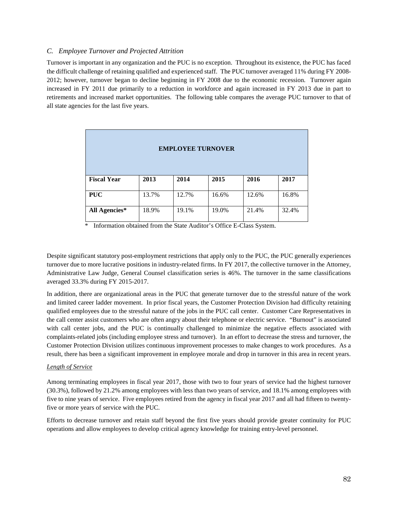#### *C. Employee Turnover and Projected Attrition*

Turnover is important in any organization and the PUC is no exception. Throughout its existence, the PUC has faced the difficult challenge of retaining qualified and experienced staff. The PUC turnover averaged 11% during FY 2008- 2012; however, turnover began to decline beginning in FY 2008 due to the economic recession. Turnover again increased in FY 2011 due primarily to a reduction in workforce and again increased in FY 2013 due in part to retirements and increased market opportunities. The following table compares the average PUC turnover to that of all state agencies for the last five years.

| <b>EMPLOYEE TURNOVER</b> |       |       |       |       |       |  |
|--------------------------|-------|-------|-------|-------|-------|--|
| <b>Fiscal Year</b>       | 2013  | 2014  | 2015  | 2016  | 2017  |  |
| <b>PUC</b>               | 13.7% | 12.7% | 16.6% | 12.6% | 16.8% |  |
| <b>All Agencies*</b>     | 18.9% | 19.1% | 19.0% | 21.4% | 32.4% |  |

\* Information obtained from the State Auditor's Office E-Class System.

Despite significant statutory post-employment restrictions that apply only to the PUC, the PUC generally experiences turnover due to more lucrative positions in industry-related firms. In FY 2017, the collective turnover in the Attorney, Administrative Law Judge, General Counsel classification series is 46%. The turnover in the same classifications averaged 33.3% during FY 2015-2017.

In addition, there are organizational areas in the PUC that generate turnover due to the stressful nature of the work and limited career ladder movement. In prior fiscal years, the Customer Protection Division had difficulty retaining qualified employees due to the stressful nature of the jobs in the PUC call center. Customer Care Representatives in the call center assist customers who are often angry about their telephone or electric service. "Burnout" is associated with call center jobs, and the PUC is continually challenged to minimize the negative effects associated with complaints-related jobs (including employee stress and turnover). In an effort to decrease the stress and turnover, the Customer Protection Division utilizes continuous improvement processes to make changes to work procedures. As a result, there has been a significant improvement in employee morale and drop in turnover in this area in recent years.

#### *Length of Service*

Among terminating employees in fiscal year 2017, those with two to four years of service had the highest turnover (30.3%), followed by 21.2% among employees with less than two years of service, and 18.1% among employees with five to nine years of service. Five employees retired from the agency in fiscal year 2017 and all had fifteen to twentyfive or more years of service with the PUC.

Efforts to decrease turnover and retain staff beyond the first five years should provide greater continuity for PUC operations and allow employees to develop critical agency knowledge for training entry-level personnel.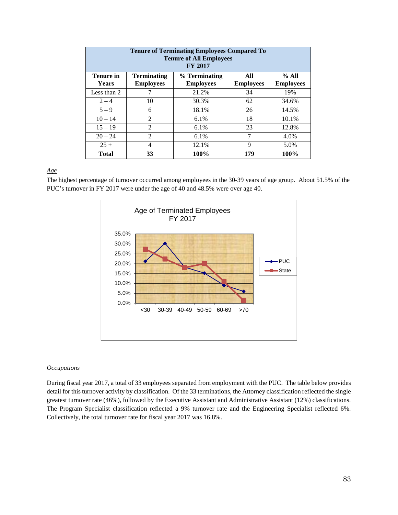| <b>Tenure of Terminating Employees Compared To</b><br><b>Tenure of All Employees</b><br><b>FY 2017</b> |                                        |                                   |                         |                           |  |
|--------------------------------------------------------------------------------------------------------|----------------------------------------|-----------------------------------|-------------------------|---------------------------|--|
| <b>Tenure in</b><br>Years                                                                              | <b>Terminating</b><br><b>Employees</b> | % Terminating<br><b>Employees</b> | All<br><b>Employees</b> | % All<br><b>Employees</b> |  |
| Less than 2                                                                                            |                                        | 21.2%                             | 34                      | 19%                       |  |
| $2 - 4$                                                                                                | 10                                     | 30.3%                             | 62                      | 34.6%                     |  |
| $5 - 9$                                                                                                | 6                                      | 18.1%                             | 26                      | 14.5%                     |  |
| $10 - 14$                                                                                              | $\overline{2}$                         | $6.1\%$                           | 18                      | 10.1%                     |  |
| $15 - 19$                                                                                              | $\overline{2}$                         | 6.1%                              | 23                      | 12.8%                     |  |
| $20 - 24$                                                                                              | $\mathfrak{D}$                         | $6.1\%$                           | 7                       | 4.0%                      |  |
| $25 +$                                                                                                 | 4                                      | 12.1%                             | 9                       | 5.0%                      |  |
| <b>Total</b>                                                                                           | 33                                     | 100%                              | 179                     | 100%                      |  |

#### *Age*

The highest percentage of turnover occurred among employees in the 30-39 years of age group. About 51.5% of the PUC's turnover in FY 2017 were under the age of 40 and 48.5% were over age 40.



#### *Occupations*

During fiscal year 2017, a total of 33 employees separated from employment with the PUC. The table below provides detail for this turnover activity by classification. Of the 33 terminations, the Attorney classification reflected the single greatest turnover rate (46%), followed by the Executive Assistant and Administrative Assistant (12%) classifications. The Program Specialist classification reflected a 9% turnover rate and the Engineering Specialist reflected 6%. Collectively, the total turnover rate for fiscal year 2017 was 16.8%.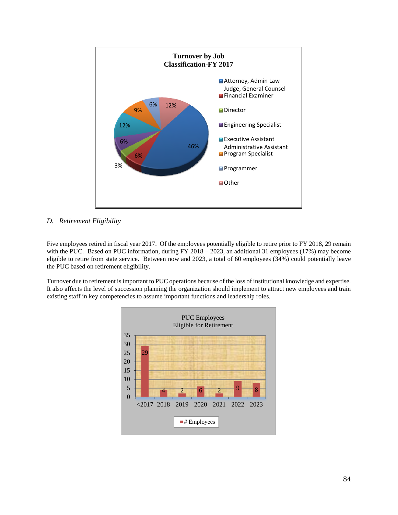

#### *D. Retirement Eligibility*

Five employees retired in fiscal year 2017. Of the employees potentially eligible to retire prior to FY 2018, 29 remain with the PUC. Based on PUC information, during FY 2018 – 2023, an additional 31 employees (17%) may become eligible to retire from state service. Between now and 2023, a total of 60 employees (34%) could potentially leave the PUC based on retirement eligibility.

Turnover due to retirement is important to PUC operations because of the loss of institutional knowledge and expertise. It also affects the level of succession planning the organization should implement to attract new employees and train existing staff in key competencies to assume important functions and leadership roles.

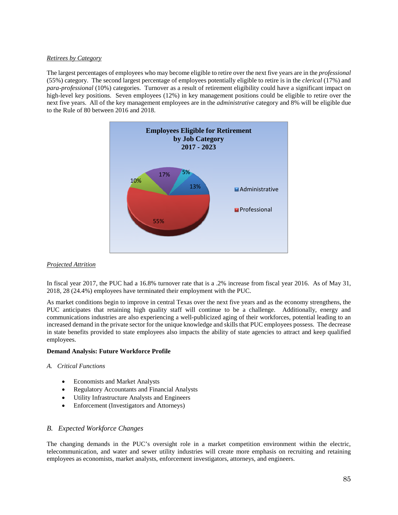#### *Retirees by Category*

The largest percentages of employees who may become eligible to retire over the next five years are in the *professional*  (55%) category. The second largest percentage of employees potentially eligible to retire is in the *clerical* (17%) and *para-professional* (10%) categories. Turnover as a result of retirement eligibility could have a significant impact on high-level key positions. Seven employees (12%) in key management positions could be eligible to retire over the next five years. All of the key management employees are in the *administrative* category and 8% will be eligible due to the Rule of 80 between 2016 and 2018.



#### *Projected Attrition*

In fiscal year 2017, the PUC had a 16.8% turnover rate that is a .2% increase from fiscal year 2016. As of May 31, 2018, 28 (24.4%) employees have terminated their employment with the PUC.

As market conditions begin to improve in central Texas over the next five years and as the economy strengthens, the PUC anticipates that retaining high quality staff will continue to be a challenge. Additionally, energy and communications industries are also experiencing a well-publicized aging of their workforces, potential leading to an increased demand in the private sector for the unique knowledge and skills that PUC employees possess. The decrease in state benefits provided to state employees also impacts the ability of state agencies to attract and keep qualified employees.

#### **Demand Analysis: Future Workforce Profile**

#### *A. Critical Functions*

- Economists and Market Analysts
- Regulatory Accountants and Financial Analysts
- Utility Infrastructure Analysts and Engineers
- Enforcement (Investigators and Attorneys)

#### *B. Expected Workforce Changes*

The changing demands in the PUC's oversight role in a market competition environment within the electric, telecommunication, and water and sewer utility industries will create more emphasis on recruiting and retaining employees as economists, market analysts, enforcement investigators, attorneys, and engineers.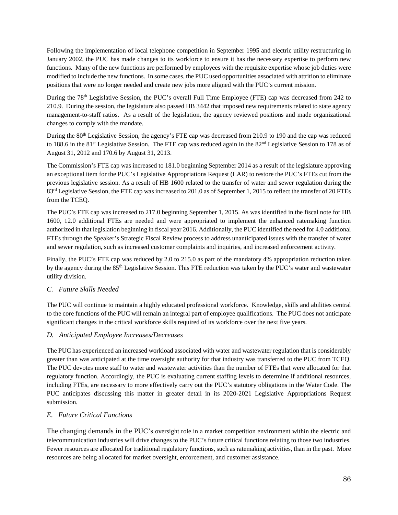Following the implementation of local telephone competition in September 1995 and electric utility restructuring in January 2002, the PUC has made changes to its workforce to ensure it has the necessary expertise to perform new functions. Many of the new functions are performed by employees with the requisite expertise whose job duties were modified to include the new functions. In some cases, the PUC used opportunities associated with attrition to eliminate positions that were no longer needed and create new jobs more aligned with the PUC's current mission.

During the 78<sup>th</sup> Legislative Session, the PUC's overall Full Time Employee (FTE) cap was decreased from 242 to 210.9. During the session, the legislature also passed HB 3442 that imposed new requirements related to state agency management-to-staff ratios. As a result of the legislation, the agency reviewed positions and made organizational changes to comply with the mandate.

During the 80<sup>th</sup> Legislative Session, the agency's FTE cap was decreased from 210.9 to 190 and the cap was reduced to 188.6 in the 81<sup>st</sup> Legislative Session. The FTE cap was reduced again in the  $82<sup>nd</sup>$  Legislative Session to 178 as of August 31, 2012 and 170.6 by August 31, 2013.

The Commission's FTE cap was increased to 181.0 beginning September 2014 as a result of the legislature approving an exceptional item for the PUC's Legislative Appropriations Request (LAR) to restore the PUC's FTEs cut from the previous legislative session. As a result of HB 1600 related to the transfer of water and sewer regulation during the 83<sup>rd</sup> Legislative Session, the FTE cap was increased to 201.0 as of September 1, 2015 to reflect the transfer of 20 FTEs from the TCEQ.

The PUC's FTE cap was increased to 217.0 beginning September 1, 2015. As was identified in the fiscal note for HB 1600, 12.0 additional FTEs are needed and were appropriated to implement the enhanced ratemaking function authorized in that legislation beginning in fiscal year 2016. Additionally, the PUC identified the need for 4.0 additional FTEs through the Speaker's Strategic Fiscal Review process to address unanticipated issues with the transfer of water and sewer regulation, such as increased customer complaints and inquiries, and increased enforcement activity.

Finally, the PUC's FTE cap was reduced by 2.0 to 215.0 as part of the mandatory 4% appropriation reduction taken by the agency during the 85th Legislative Session. This FTE reduction was taken by the PUC's water and wastewater utility division.

## *C. Future Skills Needed*

The PUC will continue to maintain a highly educated professional workforce. Knowledge, skills and abilities central to the core functions of the PUC will remain an integral part of employee qualifications. The PUC does not anticipate significant changes in the critical workforce skills required of its workforce over the next five years.

## *D. Anticipated Employee Increases/Decreases*

The PUC has experienced an increased workload associated with water and wastewater regulation that is considerably greater than was anticipated at the time oversight authority for that industry was transferred to the PUC from TCEQ. The PUC devotes more staff to water and wastewater activities than the number of FTEs that were allocated for that regulatory function. Accordingly, the PUC is evaluating current staffing levels to determine if additional resources, including FTEs, are necessary to more effectively carry out the PUC's statutory obligations in the Water Code. The PUC anticipates discussing this matter in greater detail in its 2020-2021 Legislative Appropriations Request submission.

## *E. Future Critical Functions*

The changing demands in the PUC's oversight role in a market competition environment within the electric and telecommunication industries will drive changes to the PUC's future critical functions relating to those two industries. Fewer resources are allocated for traditional regulatory functions, such as ratemaking activities, than in the past. More resources are being allocated for market oversight, enforcement, and customer assistance.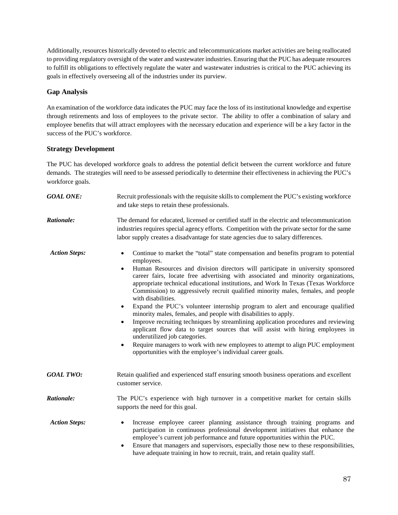Additionally, resources historically devoted to electric and telecommunications market activities are being reallocated to providing regulatory oversight of the water and wastewater industries. Ensuring that the PUC has adequate resources to fulfill its obligations to effectively regulate the water and wastewater industries is critical to the PUC achieving its goals in effectively overseeing all of the industries under its purview.

## **Gap Analysis**

An examination of the workforce data indicates the PUC may face the loss of its institutional knowledge and expertise through retirements and loss of employees to the private sector. The ability to offer a combination of salary and employee benefits that will attract employees with the necessary education and experience will be a key factor in the success of the PUC's workforce.

## **Strategy Development**

The PUC has developed workforce goals to address the potential deficit between the current workforce and future demands. The strategies will need to be assessed periodically to determine their effectiveness in achieving the PUC's workforce goals.

| <b>GOAL ONE:</b>     | Recruit professionals with the requisite skills to complement the PUC's existing workforce<br>and take steps to retain these professionals.                                                                                                                                                                                                                                                                                                                                                                                                                                                                                                                                                                                                                                                                                                                                                                                                                                                                                                                |
|----------------------|------------------------------------------------------------------------------------------------------------------------------------------------------------------------------------------------------------------------------------------------------------------------------------------------------------------------------------------------------------------------------------------------------------------------------------------------------------------------------------------------------------------------------------------------------------------------------------------------------------------------------------------------------------------------------------------------------------------------------------------------------------------------------------------------------------------------------------------------------------------------------------------------------------------------------------------------------------------------------------------------------------------------------------------------------------|
| Rationale:           | The demand for educated, licensed or certified staff in the electric and telecommunication<br>industries requires special agency efforts. Competition with the private sector for the same<br>labor supply creates a disadvantage for state agencies due to salary differences.                                                                                                                                                                                                                                                                                                                                                                                                                                                                                                                                                                                                                                                                                                                                                                            |
| <b>Action Steps:</b> | Continue to market the "total" state compensation and benefits program to potential<br>$\bullet$<br>employees.<br>Human Resources and division directors will participate in university sponsored<br>$\bullet$<br>career fairs, locate free advertising with associated and minority organizations,<br>appropriate technical educational institutions, and Work In Texas (Texas Workforce<br>Commission) to aggressively recruit qualified minority males, females, and people<br>with disabilities.<br>Expand the PUC's volunteer internship program to alert and encourage qualified<br>$\bullet$<br>minority males, females, and people with disabilities to apply.<br>Improve recruiting techniques by streamlining application procedures and reviewing<br>$\bullet$<br>applicant flow data to target sources that will assist with hiring employees in<br>underutilized job categories.<br>Require managers to work with new employees to attempt to align PUC employment<br>$\bullet$<br>opportunities with the employee's individual career goals. |
| <b>GOAL TWO:</b>     | Retain qualified and experienced staff ensuring smooth business operations and excellent<br>customer service.                                                                                                                                                                                                                                                                                                                                                                                                                                                                                                                                                                                                                                                                                                                                                                                                                                                                                                                                              |
| <b>Rationale:</b>    | The PUC's experience with high turnover in a competitive market for certain skills<br>supports the need for this goal.                                                                                                                                                                                                                                                                                                                                                                                                                                                                                                                                                                                                                                                                                                                                                                                                                                                                                                                                     |
| <b>Action Steps:</b> | Increase employee career planning assistance through training programs and<br>participation in continuous professional development initiatives that enhance the<br>employee's current job performance and future opportunities within the PUC.<br>Ensure that managers and supervisors, especially those new to these responsibilities,<br>$\bullet$<br>have adequate training in how to recruit, train, and retain quality staff.                                                                                                                                                                                                                                                                                                                                                                                                                                                                                                                                                                                                                         |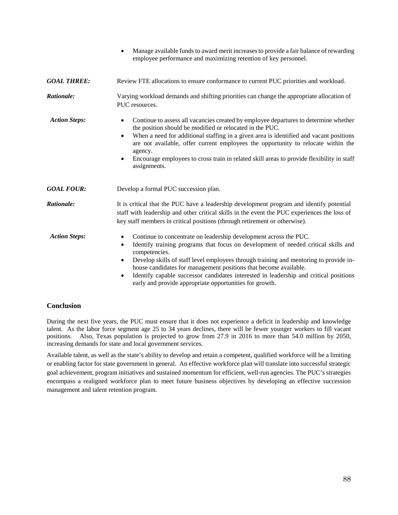|                      | Manage available funds to award merit increases to provide a fair balance of rewarding<br>$\bullet$<br>employee performance and maximizing retention of key personnel.                                                                                                                                                                                                                                                                                                                                                                        |
|----------------------|-----------------------------------------------------------------------------------------------------------------------------------------------------------------------------------------------------------------------------------------------------------------------------------------------------------------------------------------------------------------------------------------------------------------------------------------------------------------------------------------------------------------------------------------------|
| <b>GOAL THREE:</b>   | Review FTE allocations to ensure conformance to current PUC priorities and workload.                                                                                                                                                                                                                                                                                                                                                                                                                                                          |
| Rationale:           | Varying workload demands and shifting priorities can change the appropriate allocation of<br>PUC resources.                                                                                                                                                                                                                                                                                                                                                                                                                                   |
| <b>Action Steps:</b> | Continue to assess all vacancies created by employee departures to determine whether<br>$\bullet$<br>the position should be modified or relocated in the PUC.<br>When a need for additional staffing in a given area is identified and vacant positions<br>$\bullet$<br>are not available, offer current employees the opportunity to relocate within the<br>agency.<br>Encourage employees to cross train in related skill areas to provide flexibility in staff<br>$\bullet$<br>assignments.                                                |
| <b>GOAL FOUR:</b>    | Develop a formal PUC succession plan.                                                                                                                                                                                                                                                                                                                                                                                                                                                                                                         |
| Rationale:           | It is critical that the PUC have a leadership development program and identify potential<br>staff with leadership and other critical skills in the event the PUC experiences the loss of<br>key staff members in critical positions (through retirement or otherwise).                                                                                                                                                                                                                                                                        |
| <b>Action Steps:</b> | Continue to concentrate on leadership development across the PUC.<br>$\bullet$<br>Identify training programs that focus on development of needed critical skills and<br>$\bullet$<br>competencies.<br>Develop skills of staff level employees through training and mentoring to provide in-<br>$\bullet$<br>house candidates for management positions that become available.<br>Identify capable successor candidates interested in leadership and critical positions<br>$\bullet$<br>early and provide appropriate opportunities for growth. |

## **Conclusion**

During the next five years, the PUC must ensure that it does not experience a deficit in leadership and knowledge talent. As the labor force segment age 25 to 34 years declines, there will be fewer younger workers to fill vacant positions. Also, Texas population is projected to grow from 27.9 in 2016 to more than 54.0 million by 2050, increasing demands for state and local government services.

Available talent, as well as the state's ability to develop and retain a competent, qualified workforce will be a limiting or enabling factor for state government in general. An effective workforce plan will translate into successful strategic goal achievement, program initiatives and sustained momentum for efficient, well-run agencies. The PUC's strategies encompass a realigned workforce plan to meet future business objectives by developing an effective succession management and talent retention program.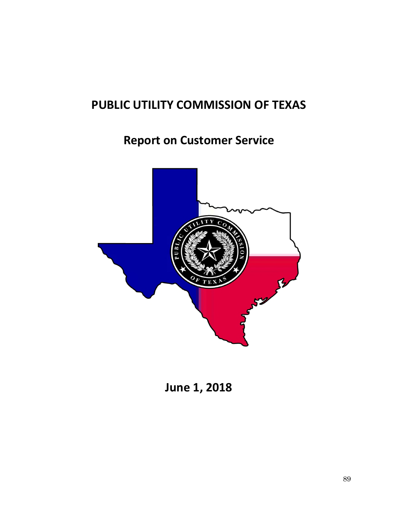# **PUBLIC UTILITY COMMISSION OF TEXAS**

## **Report on Customer Service**



**June 1, 2018**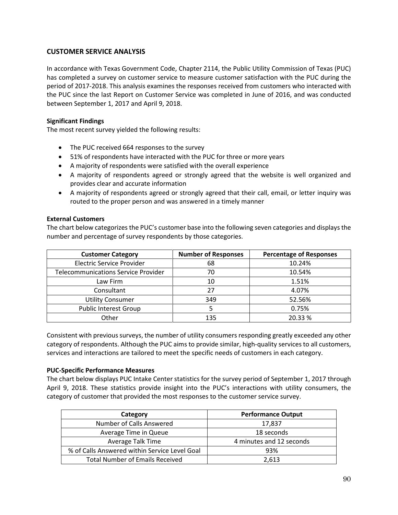## **CUSTOMER SERVICE ANALYSIS**

In accordance with Texas Government Code, Chapter 2114, the Public Utility Commission of Texas (PUC) has completed a survey on customer service to measure customer satisfaction with the PUC during the period of 2017-2018. This analysis examines the responses received from customers who interacted with the PUC since the last Report on Customer Service was completed in June of 2016, and was conducted between September 1, 2017 and April 9, 2018.

## **Significant Findings**

The most recent survey yielded the following results:

- The PUC received 664 responses to the survey
- 51% of respondents have interacted with the PUC for three or more years
- A majority of respondents were satisfied with the overall experience
- A majority of respondents agreed or strongly agreed that the website is well organized and provides clear and accurate information
- A majority of respondents agreed or strongly agreed that their call, email, or letter inquiry was routed to the proper person and was answered in a timely manner

## **External Customers**

The chart below categorizes the PUC's customer base into the following seven categories and displays the number and percentage of survey respondents by those categories.

| <b>Customer Category</b>                   | <b>Number of Responses</b> | <b>Percentage of Responses</b> |
|--------------------------------------------|----------------------------|--------------------------------|
| <b>Electric Service Provider</b>           | 68                         | 10.24%                         |
| <b>Telecommunications Service Provider</b> | 70                         | 10.54%                         |
| Law Firm                                   | 10                         | 1.51%                          |
| Consultant                                 | 27                         | 4.07%                          |
| <b>Utility Consumer</b>                    | 349                        | 52.56%                         |
| <b>Public Interest Group</b>               |                            | 0.75%                          |
| Other                                      | 135                        | 20.33%                         |

Consistent with previous surveys, the number of utility consumers responding greatly exceeded any other category of respondents. Although the PUC aims to provide similar, high-quality services to all customers, services and interactions are tailored to meet the specific needs of customers in each category.

## **PUC-Specific Performance Measures**

The chart below displays PUC Intake Center statistics for the survey period of September 1, 2017 through April 9, 2018. These statistics provide insight into the PUC's interactions with utility consumers, the category of customer that provided the most responses to the customer service survey.

| Category                                      | <b>Performance Output</b> |
|-----------------------------------------------|---------------------------|
| Number of Calls Answered                      | 17,837                    |
| Average Time in Queue                         | 18 seconds                |
| Average Talk Time                             | 4 minutes and 12 seconds  |
| % of Calls Answered within Service Level Goal | 93%                       |
| <b>Total Number of Emails Received</b>        | 2.613                     |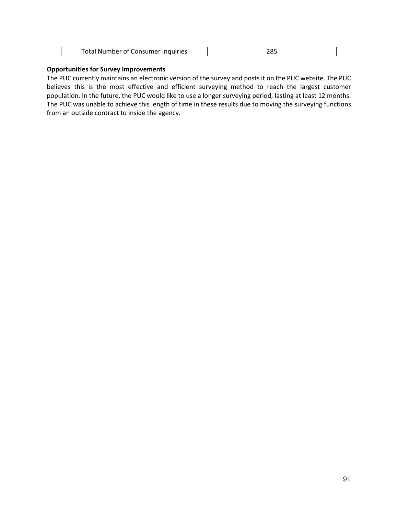## **Opportunities for Survey Improvements**

The PUC currently maintains an electronic version of the survey and posts it on the PUC website. The PUC believes this is the most effective and efficient surveying method to reach the largest customer population. In the future, the PUC would like to use a longer surveying period, lasting at least 12 months. The PUC was unable to achieve this length of time in these results due to moving the surveying functions from an outside contract to inside the agency.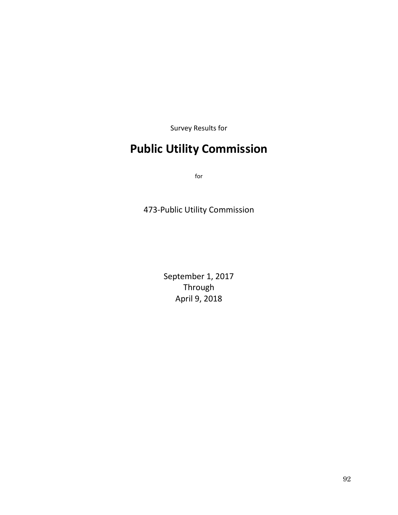Survey Results for

# **Public Utility Commission**

for

473-Public Utility Commission

September 1, 2017 Through April 9, 2018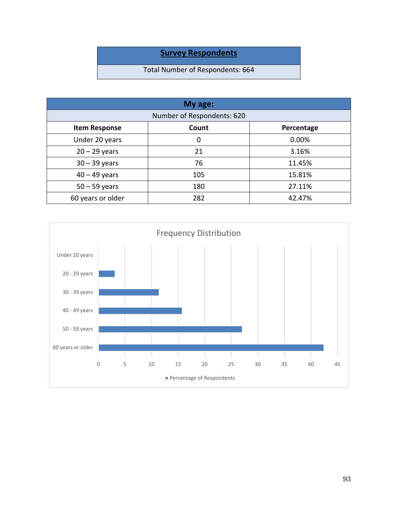## **Survey Respondents**

## Total Number of Respondents: 664

| My age:                    |       |            |  |
|----------------------------|-------|------------|--|
| Number of Respondents: 620 |       |            |  |
| <b>Item Response</b>       | Count | Percentage |  |
| Under 20 years             | 0     | 0.00%      |  |
| $20 - 29$ years            | 21    | 3.16%      |  |
| $30 - 39$ years            | 76    | 11.45%     |  |
| $40 - 49$ years            | 105   | 15.81%     |  |
| $50 - 59$ years            | 180   | 27.11%     |  |
| 60 years or older          | 282   | 42.47%     |  |

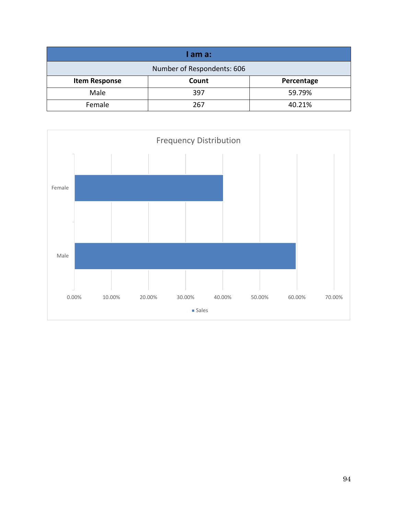| I am a:                    |       |            |  |
|----------------------------|-------|------------|--|
| Number of Respondents: 606 |       |            |  |
| <b>Item Response</b>       | Count | Percentage |  |
| Male                       | 397   | 59.79%     |  |
| Female                     | 267   | 40.21%     |  |

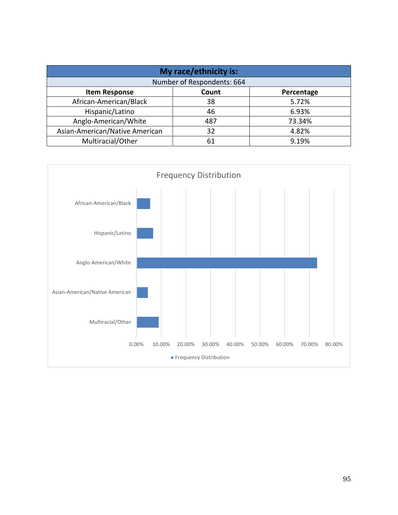| My race/ethnicity is:          |       |            |  |
|--------------------------------|-------|------------|--|
| Number of Respondents: 664     |       |            |  |
| <b>Item Response</b>           | Count | Percentage |  |
| African-American/Black         | 38    | 5.72%      |  |
| Hispanic/Latino                | 46    | 6.93%      |  |
| Anglo-American/White           | 487   | 73.34%     |  |
| Asian-American/Native American | 32    | 4.82%      |  |
| Multiracial/Other              | 61    | 9.19%      |  |

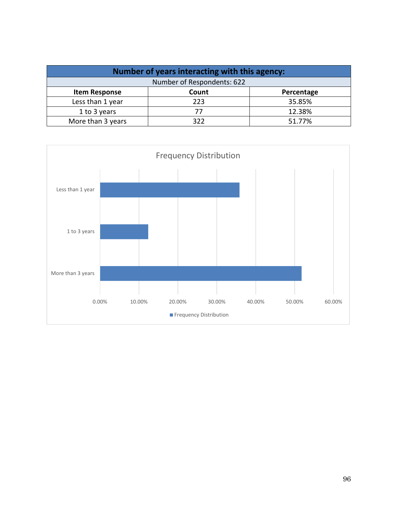| Number of years interacting with this agency: |            |            |
|-----------------------------------------------|------------|------------|
| Number of Respondents: 622                    |            |            |
| <b>Item Response</b>                          | Count      | Percentage |
| Less than 1 year                              | 223        | 35.85%     |
| 1 to 3 years                                  | 77         | 12.38%     |
| More than 3 years                             | <b>3JJ</b> | 51.77%     |

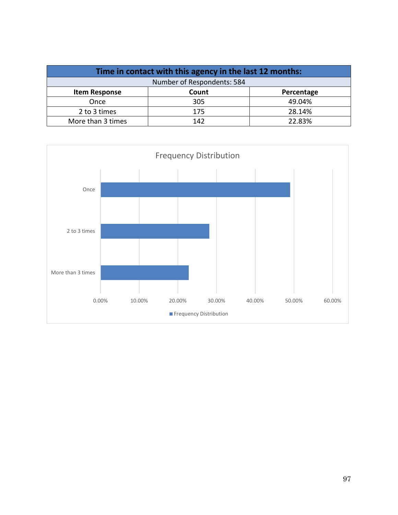| Time in contact with this agency in the last 12 months: |       |            |
|---------------------------------------------------------|-------|------------|
| Number of Respondents: 584                              |       |            |
| <b>Item Response</b>                                    | Count | Percentage |
| Once                                                    | 305   | 49.04%     |
| 2 to 3 times                                            | 175   | 28.14%     |
| More than 3 times                                       | 142   | 22.83%     |

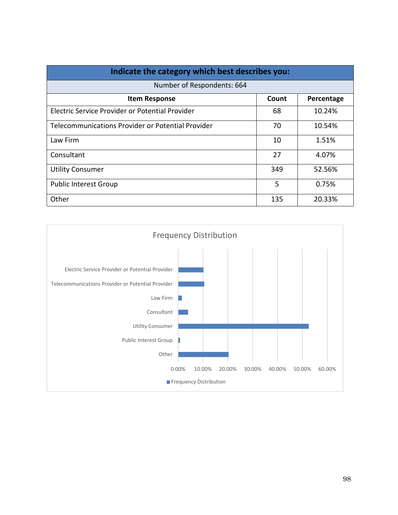| Indicate the category which best describes you:   |       |            |
|---------------------------------------------------|-------|------------|
| Number of Respondents: 664                        |       |            |
| <b>Item Response</b>                              | Count | Percentage |
| Electric Service Provider or Potential Provider   | 68    | 10.24%     |
| Telecommunications Provider or Potential Provider | 70    | 10.54%     |
| Law Firm                                          | 10    | 1.51%      |
| Consultant                                        | 27    | 4.07%      |
| <b>Utility Consumer</b>                           | 349   | 52.56%     |
| <b>Public Interest Group</b>                      | 5     | 0.75%      |
| Other                                             | 135   | 20.33%     |

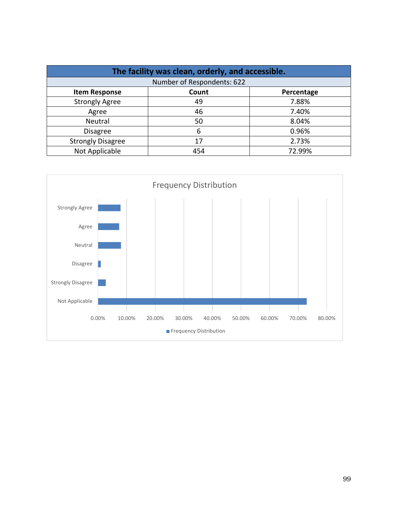| The facility was clean, orderly, and accessible. |       |            |
|--------------------------------------------------|-------|------------|
| Number of Respondents: 622                       |       |            |
| <b>Item Response</b>                             | Count | Percentage |
| <b>Strongly Agree</b>                            | 49    | 7.88%      |
| Agree                                            | 46    | 7.40%      |
| Neutral                                          | 50    | 8.04%      |
| <b>Disagree</b>                                  | 6     | 0.96%      |
| <b>Strongly Disagree</b>                         | 17    | 2.73%      |
| Not Applicable                                   | 454   | 72.99%     |

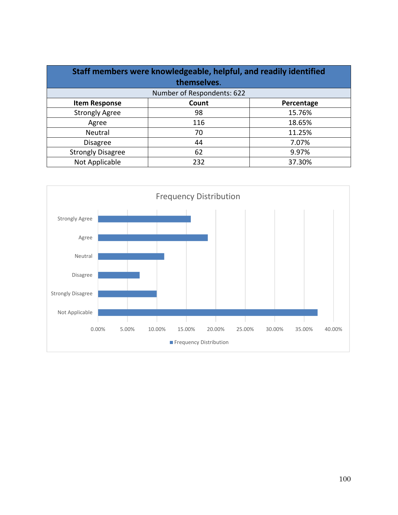| Staff members were knowledgeable, helpful, and readily identified<br>themselves. |       |            |
|----------------------------------------------------------------------------------|-------|------------|
| Number of Respondents: 622                                                       |       |            |
| <b>Item Response</b>                                                             | Count | Percentage |
| <b>Strongly Agree</b>                                                            | 98    | 15.76%     |
| Agree                                                                            | 116   | 18.65%     |
| Neutral                                                                          | 70    | 11.25%     |
| <b>Disagree</b>                                                                  | 44    | 7.07%      |
| <b>Strongly Disagree</b>                                                         | 62    | 9.97%      |
| Not Applicable                                                                   | 232   | 37.30%     |

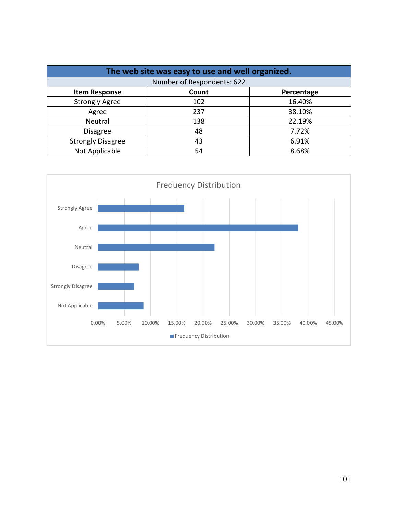| The web site was easy to use and well organized. |                            |            |  |
|--------------------------------------------------|----------------------------|------------|--|
|                                                  | Number of Respondents: 622 |            |  |
| <b>Item Response</b>                             | Count                      | Percentage |  |
| <b>Strongly Agree</b>                            | 102                        | 16.40%     |  |
| Agree                                            | 237                        | 38.10%     |  |
| Neutral                                          | 138                        | 22.19%     |  |
| <b>Disagree</b>                                  | 48                         | 7.72%      |  |
| <b>Strongly Disagree</b>                         | 43                         | 6.91%      |  |
| Not Applicable                                   | 54                         | 8.68%      |  |

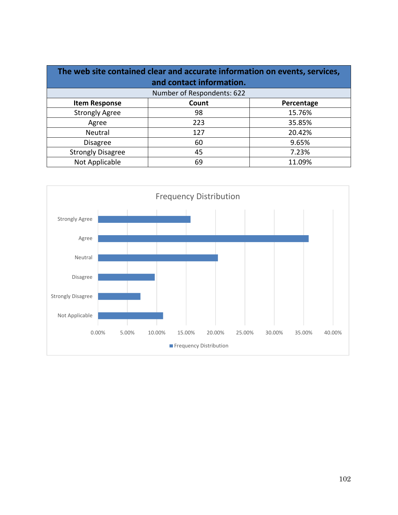| The web site contained clear and accurate information on events, services, |                            |            |  |
|----------------------------------------------------------------------------|----------------------------|------------|--|
| and contact information.                                                   |                            |            |  |
|                                                                            | Number of Respondents: 622 |            |  |
| <b>Item Response</b>                                                       | Count                      | Percentage |  |
| <b>Strongly Agree</b>                                                      | 98                         | 15.76%     |  |
| Agree                                                                      | 223                        | 35.85%     |  |
| Neutral                                                                    | 127                        | 20.42%     |  |
| <b>Disagree</b>                                                            | 60                         | 9.65%      |  |
| <b>Strongly Disagree</b>                                                   | 45                         | 7.23%      |  |
| Not Applicable                                                             | 69                         | 11.09%     |  |

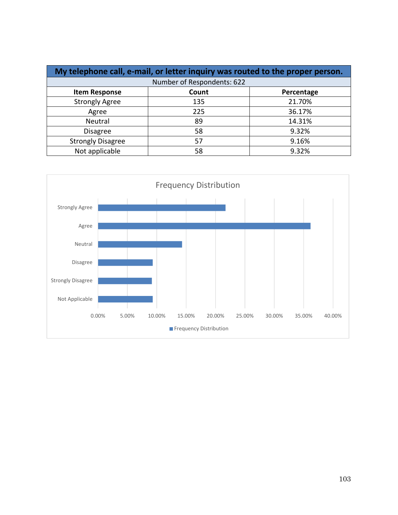| My telephone call, e-mail, or letter inquiry was routed to the proper person. |                            |            |
|-------------------------------------------------------------------------------|----------------------------|------------|
|                                                                               | Number of Respondents: 622 |            |
| <b>Item Response</b>                                                          | Count                      | Percentage |
| <b>Strongly Agree</b>                                                         | 135                        | 21.70%     |
| Agree                                                                         | 225                        | 36.17%     |
| Neutral                                                                       | 89                         | 14.31%     |
| <b>Disagree</b>                                                               | 58                         | 9.32%      |
| <b>Strongly Disagree</b>                                                      | 57                         | 9.16%      |
| Not applicable                                                                | 58                         | 9.32%      |

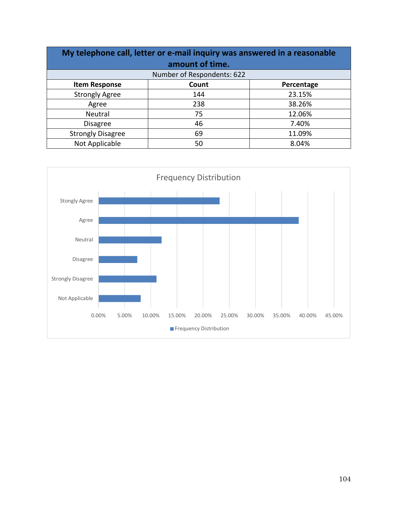| My telephone call, letter or e-mail inquiry was answered in a reasonable |                            |            |
|--------------------------------------------------------------------------|----------------------------|------------|
|                                                                          | amount of time.            |            |
|                                                                          | Number of Respondents: 622 |            |
| <b>Item Response</b>                                                     | Count                      | Percentage |
| <b>Strongly Agree</b>                                                    | 144                        | 23.15%     |
| Agree                                                                    | 238                        | 38.26%     |
| Neutral                                                                  | 75                         | 12.06%     |
| <b>Disagree</b>                                                          | 46                         | 7.40%      |
| <b>Strongly Disagree</b>                                                 | 69                         | 11.09%     |
| Not Applicable                                                           | 50                         | 8.04%      |

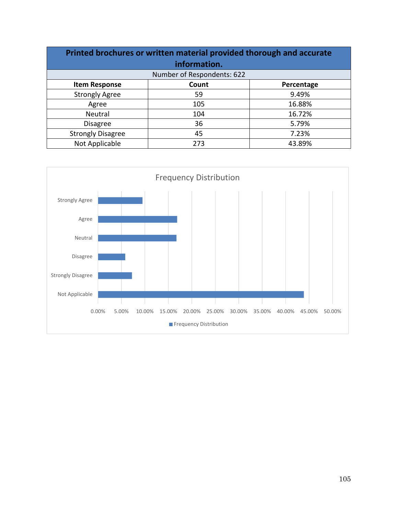| Printed brochures or written material provided thorough and accurate |       |            |
|----------------------------------------------------------------------|-------|------------|
| information.                                                         |       |            |
| Number of Respondents: 622                                           |       |            |
| <b>Item Response</b>                                                 | Count | Percentage |
| <b>Strongly Agree</b>                                                | 59    | 9.49%      |
| Agree                                                                | 105   | 16.88%     |
| Neutral                                                              | 104   | 16.72%     |
| <b>Disagree</b>                                                      | 36    | 5.79%      |
| <b>Strongly Disagree</b>                                             | 45    | 7.23%      |
| Not Applicable                                                       | 273   | 43.89%     |

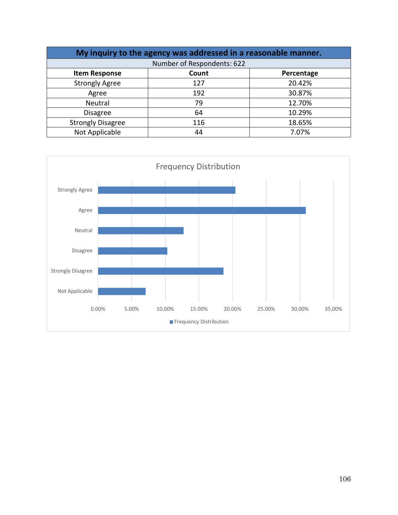| My inquiry to the agency was addressed in a reasonable manner. |       |            |  |  |
|----------------------------------------------------------------|-------|------------|--|--|
| Number of Respondents: 622                                     |       |            |  |  |
| <b>Item Response</b>                                           | Count | Percentage |  |  |
| <b>Strongly Agree</b>                                          | 127   | 20.42%     |  |  |
| Agree                                                          | 192   | 30.87%     |  |  |
| Neutral                                                        | 79    | 12.70%     |  |  |
| <b>Disagree</b>                                                | 64    | 10.29%     |  |  |
| <b>Strongly Disagree</b>                                       | 116   | 18.65%     |  |  |
| Not Applicable                                                 | 44    | 7.07%      |  |  |

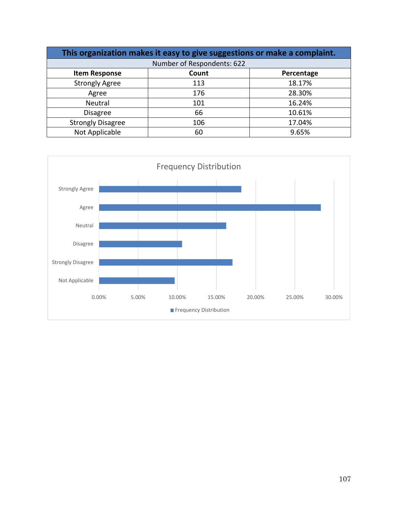| This organization makes it easy to give suggestions or make a complaint. |       |            |  |  |
|--------------------------------------------------------------------------|-------|------------|--|--|
| Number of Respondents: 622                                               |       |            |  |  |
| <b>Item Response</b>                                                     | Count | Percentage |  |  |
| <b>Strongly Agree</b>                                                    | 113   | 18.17%     |  |  |
| Agree                                                                    | 176   | 28.30%     |  |  |
| Neutral                                                                  | 101   | 16.24%     |  |  |
| <b>Disagree</b>                                                          | 66    | 10.61%     |  |  |
| <b>Strongly Disagree</b>                                                 | 106   | 17.04%     |  |  |
| Not Applicable                                                           | 60    | 9.65%      |  |  |